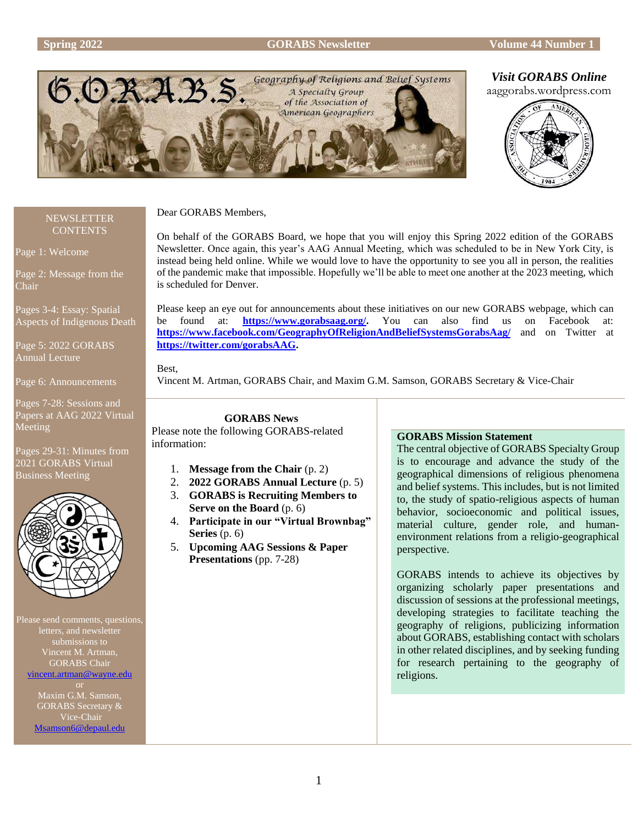#### **Spring 2022 GORABS Newsletter Volume 44 Number 1**



# *Visit GORABS Online*



#### **NEWSLETTER CONTENTS**

Page 1: Welcome

Page 2: Message from the Chair

Pages 3-4: Essay: Spatial Aspects of Indigenous Death

Page 5: 2022 GORABS Annual Lecture

Page 6: Announcements

Pages 7-28: Sessions and Papers at AAG 2022 Virtual Meeting

Pages 29-31: Minutes from 2021 GORABS Virtual Business Meeting



Please send comments, questions, letters, and newsletter submissions to Vincent M. Artman, GORABS Chair [vincent.artman@wayne.edu](mailto:vincent.artman@wayne.edu)

> Maxim G.M. Samson, GORABS Secretary & Vice-Chair [Msamson6@depaul.edu](mailto:Msamson6@depaul.edu)

Dear GORABS Members,

On behalf of the GORABS Board, we hope that you will enjoy this Spring 2022 edition of the GORABS Newsletter. Once again, this year's AAG Annual Meeting, which was scheduled to be in New York City, is instead being held online. While we would love to have the opportunity to see you all in person, the realities of the pandemic make that impossible. Hopefully we'll be able to meet one another at the 2023 meeting, which is scheduled for Denver.

Please keep an eye out for announcements about these initiatives on our new GORABS webpage, which can<br>be found at: **https://www.gorabsaag.org/.** You can also find us on Facebook at: [https://www.gorabsaag.org/.](https://www.gorabsaag.org/) You can also find us on Facebook at: **<https://www.facebook.com/GeographyOfReligionAndBeliefSystemsGorabsAag/>** and on Twitter at **[https://twitter.com/gorabsAAG.](https://twitter.com/gorabsAAG)**

Best,

Vincent M. Artman, GORABS Chair, and Maxim G.M. Samson, GORABS Secretary & Vice-Chair

**GORABS News** Please note the following GORABS-related information:

- 1. **Message from the Chair** (p. 2)
- 2. **2022 GORABS Annual Lecture** (p. 5)
- 3. **GORABS is Recruiting Members to Serve on the Board** (p. 6)
- 4. **Participate in our "Virtual Brownbag" Series** (p. 6)
- 5. **Upcoming AAG Sessions & Paper Presentations** (pp. 7-28)

# **GORABS Mission Statement**

The central objective of GORABS Specialty Group is to encourage and advance the study of the geographical dimensions of religious phenomena and belief systems. This includes, but is not limited to, the study of spatio-religious aspects of human behavior, socioeconomic and political issues, material culture, gender role, and humanenvironment relations from a religio-geographical perspective.

GORABS intends to achieve its objectives by organizing scholarly paper presentations and discussion of sessions at the professional meetings, developing strategies to facilitate teaching the geography of religions, publicizing information about GORABS, establishing contact with scholars in other related disciplines, and by seeking funding for research pertaining to the geography of religions.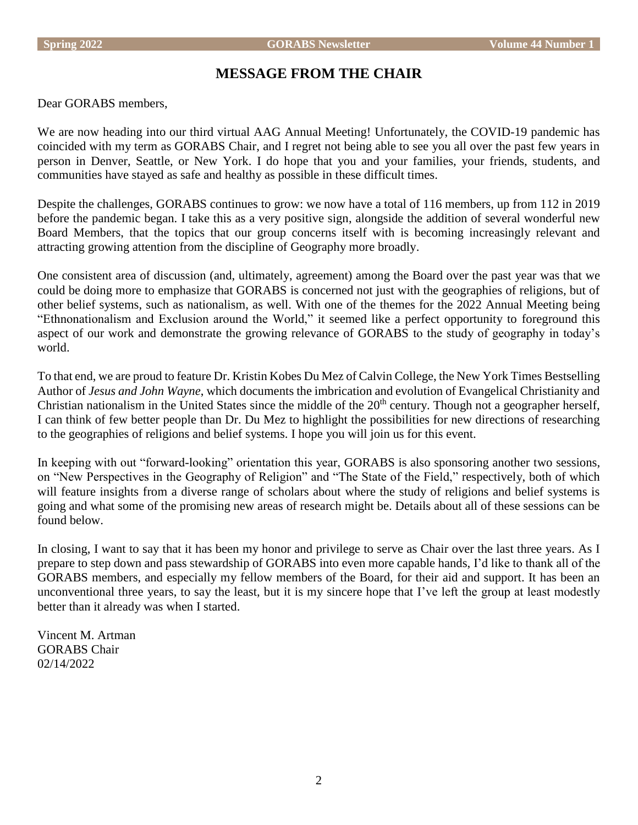# **MESSAGE FROM THE CHAIR**

Dear GORABS members,

We are now heading into our third virtual AAG Annual Meeting! Unfortunately, the COVID-19 pandemic has coincided with my term as GORABS Chair, and I regret not being able to see you all over the past few years in person in Denver, Seattle, or New York. I do hope that you and your families, your friends, students, and communities have stayed as safe and healthy as possible in these difficult times.

Despite the challenges, GORABS continues to grow: we now have a total of 116 members, up from 112 in 2019 before the pandemic began. I take this as a very positive sign, alongside the addition of several wonderful new Board Members, that the topics that our group concerns itself with is becoming increasingly relevant and attracting growing attention from the discipline of Geography more broadly.

One consistent area of discussion (and, ultimately, agreement) among the Board over the past year was that we could be doing more to emphasize that GORABS is concerned not just with the geographies of religions, but of other belief systems, such as nationalism, as well. With one of the themes for the 2022 Annual Meeting being "Ethnonationalism and Exclusion around the World," it seemed like a perfect opportunity to foreground this aspect of our work and demonstrate the growing relevance of GORABS to the study of geography in today's world.

To that end, we are proud to feature Dr. Kristin Kobes Du Mez of Calvin College, the New York Times Bestselling Author of *Jesus and John Wayne*, which documents the imbrication and evolution of Evangelical Christianity and Christian nationalism in the United States since the middle of the  $20<sup>th</sup>$  century. Though not a geographer herself, I can think of few better people than Dr. Du Mez to highlight the possibilities for new directions of researching to the geographies of religions and belief systems. I hope you will join us for this event.

In keeping with out "forward-looking" orientation this year, GORABS is also sponsoring another two sessions, on "New Perspectives in the Geography of Religion" and "The State of the Field," respectively, both of which will feature insights from a diverse range of scholars about where the study of religions and belief systems is going and what some of the promising new areas of research might be. Details about all of these sessions can be found below.

In closing, I want to say that it has been my honor and privilege to serve as Chair over the last three years. As I prepare to step down and pass stewardship of GORABS into even more capable hands, I'd like to thank all of the GORABS members, and especially my fellow members of the Board, for their aid and support. It has been an unconventional three years, to say the least, but it is my sincere hope that I've left the group at least modestly better than it already was when I started.

Vincent M. Artman GORABS Chair 02/14/2022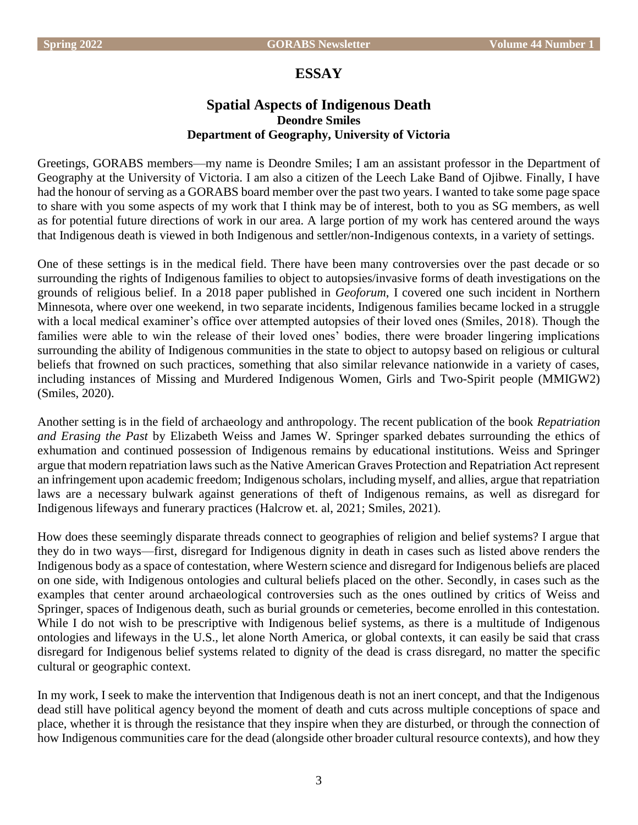# **ESSAY**

# **Spatial Aspects of Indigenous Death Deondre Smiles Department of Geography, University of Victoria**

Greetings, GORABS members—my name is Deondre Smiles; I am an assistant professor in the Department of Geography at the University of Victoria. I am also a citizen of the Leech Lake Band of Ojibwe. Finally, I have had the honour of serving as a GORABS board member over the past two years. I wanted to take some page space to share with you some aspects of my work that I think may be of interest, both to you as SG members, as well as for potential future directions of work in our area. A large portion of my work has centered around the ways that Indigenous death is viewed in both Indigenous and settler/non-Indigenous contexts, in a variety of settings.

One of these settings is in the medical field. There have been many controversies over the past decade or so surrounding the rights of Indigenous families to object to autopsies/invasive forms of death investigations on the grounds of religious belief. In a 2018 paper published in *Geoforum*, I covered one such incident in Northern Minnesota, where over one weekend, in two separate incidents, Indigenous families became locked in a struggle with a local medical examiner's office over attempted autopsies of their loved ones (Smiles, 2018). Though the families were able to win the release of their loved ones' bodies, there were broader lingering implications surrounding the ability of Indigenous communities in the state to object to autopsy based on religious or cultural beliefs that frowned on such practices, something that also similar relevance nationwide in a variety of cases, including instances of Missing and Murdered Indigenous Women, Girls and Two-Spirit people (MMIGW2) (Smiles, 2020).

Another setting is in the field of archaeology and anthropology. The recent publication of the book *Repatriation and Erasing the Past* by Elizabeth Weiss and James W. Springer sparked debates surrounding the ethics of exhumation and continued possession of Indigenous remains by educational institutions. Weiss and Springer argue that modern repatriation laws such as the Native American Graves Protection and Repatriation Act represent an infringement upon academic freedom; Indigenous scholars, including myself, and allies, argue that repatriation laws are a necessary bulwark against generations of theft of Indigenous remains, as well as disregard for Indigenous lifeways and funerary practices (Halcrow et. al, 2021; Smiles, 2021).

How does these seemingly disparate threads connect to geographies of religion and belief systems? I argue that they do in two ways—first, disregard for Indigenous dignity in death in cases such as listed above renders the Indigenous body as a space of contestation, where Western science and disregard for Indigenous beliefs are placed on one side, with Indigenous ontologies and cultural beliefs placed on the other. Secondly, in cases such as the examples that center around archaeological controversies such as the ones outlined by critics of Weiss and Springer, spaces of Indigenous death, such as burial grounds or cemeteries, become enrolled in this contestation. While I do not wish to be prescriptive with Indigenous belief systems, as there is a multitude of Indigenous ontologies and lifeways in the U.S., let alone North America, or global contexts, it can easily be said that crass disregard for Indigenous belief systems related to dignity of the dead is crass disregard, no matter the specific cultural or geographic context.

In my work, I seek to make the intervention that Indigenous death is not an inert concept, and that the Indigenous dead still have political agency beyond the moment of death and cuts across multiple conceptions of space and place, whether it is through the resistance that they inspire when they are disturbed, or through the connection of how Indigenous communities care for the dead (alongside other broader cultural resource contexts), and how they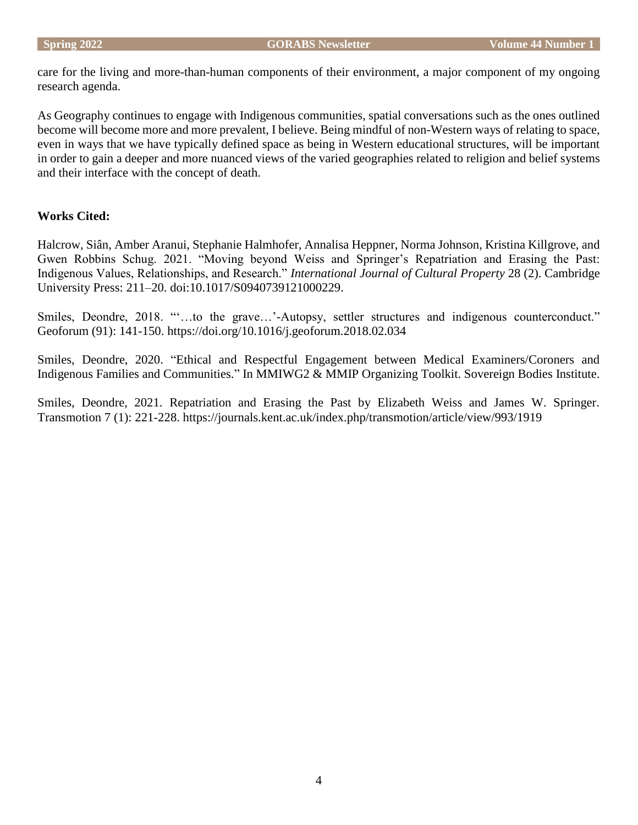care for the living and more-than-human components of their environment, a major component of my ongoing research agenda.

As Geography continues to engage with Indigenous communities, spatial conversations such as the ones outlined become will become more and more prevalent, I believe. Being mindful of non-Western ways of relating to space, even in ways that we have typically defined space as being in Western educational structures, will be important in order to gain a deeper and more nuanced views of the varied geographies related to religion and belief systems and their interface with the concept of death.

# **Works Cited:**

Halcrow, Siân, Amber Aranui, Stephanie Halmhofer, Annalisa Heppner, Norma Johnson, Kristina Killgrove, and Gwen Robbins Schug. 2021. "Moving beyond Weiss and Springer's Repatriation and Erasing the Past: Indigenous Values, Relationships, and Research." *International Journal of Cultural Property* 28 (2). Cambridge University Press: 211–20. doi:10.1017/S0940739121000229.

Smiles, Deondre, 2018. "'…to the grave…'-Autopsy, settler structures and indigenous counterconduct." Geoforum (91): 141-150. https://doi.org/10.1016/j.geoforum.2018.02.034

Smiles, Deondre, 2020. "Ethical and Respectful Engagement between Medical Examiners/Coroners and Indigenous Families and Communities." In MMIWG2 & MMIP Organizing Toolkit. Sovereign Bodies Institute.

Smiles, Deondre, 2021. Repatriation and Erasing the Past by Elizabeth Weiss and James W. Springer. Transmotion 7 (1): 221-228. https://journals.kent.ac.uk/index.php/transmotion/article/view/993/1919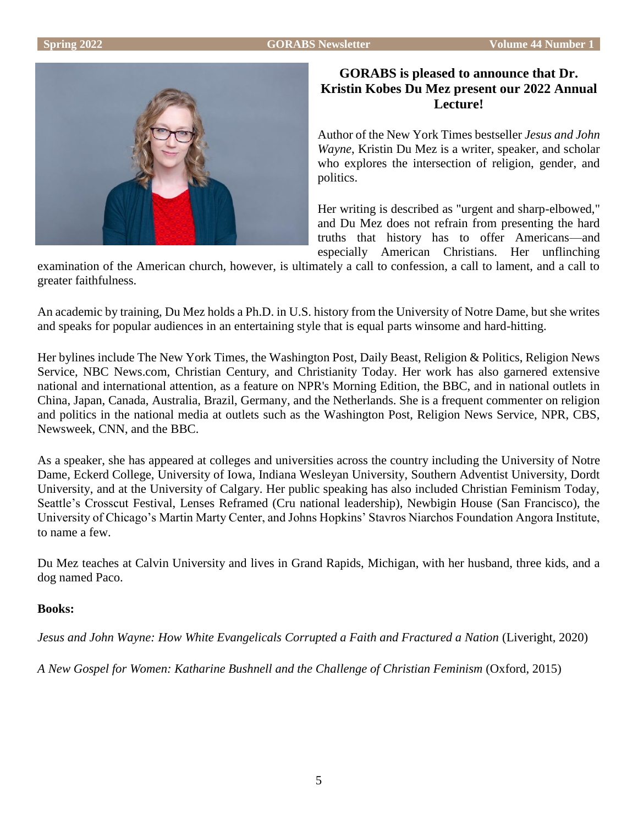

# **GORABS is pleased to announce that Dr. Kristin Kobes Du Mez present our 2022 Annual Lecture!**

Author of the New York Times bestseller *Jesus and John Wayne*, Kristin Du Mez is a writer, speaker, and scholar who explores the intersection of religion, gender, and politics.

Her writing is described as "urgent and sharp-elbowed," and Du Mez does not refrain from presenting the hard truths that history has to offer Americans—and especially American Christians. Her unflinching

examination of the American church, however, is ultimately a call to confession, a call to lament, and a call to greater faithfulness.

An academic by training, Du Mez holds a Ph.D. in U.S. history from the University of Notre Dame, but she writes and speaks for popular audiences in an entertaining style that is equal parts winsome and hard-hitting.

Her bylines include The New York Times, the Washington Post, Daily Beast, Religion & Politics, Religion News Service, NBC News.com, Christian Century, and Christianity Today. Her work has also garnered extensive national and international attention, as a feature on NPR's Morning Edition, the BBC, and in national outlets in China, Japan, Canada, Australia, Brazil, Germany, and the Netherlands. She is a frequent commenter on religion and politics in the national media at outlets such as the Washington Post, Religion News Service, NPR, CBS, Newsweek, CNN, and the BBC.

As a speaker, she has appeared at colleges and universities across the country including the University of Notre Dame, Eckerd College, University of Iowa, Indiana Wesleyan University, Southern Adventist University, Dordt University, and at the University of Calgary. Her public speaking has also included Christian Feminism Today, Seattle's Crosscut Festival, Lenses Reframed (Cru national leadership), Newbigin House (San Francisco), the University of Chicago's Martin Marty Center, and Johns Hopkins' Stavros Niarchos Foundation Angora Institute, to name a few.

Du Mez teaches at Calvin University and lives in Grand Rapids, Michigan, with her husband, three kids, and a dog named Paco.

# **Books:**

*Jesus and John Wayne: How White Evangelicals Corrupted a Faith and Fractured a Nation* (Liveright, 2020)

*A New Gospel for Women: Katharine Bushnell and the Challenge of Christian Feminism* (Oxford, 2015)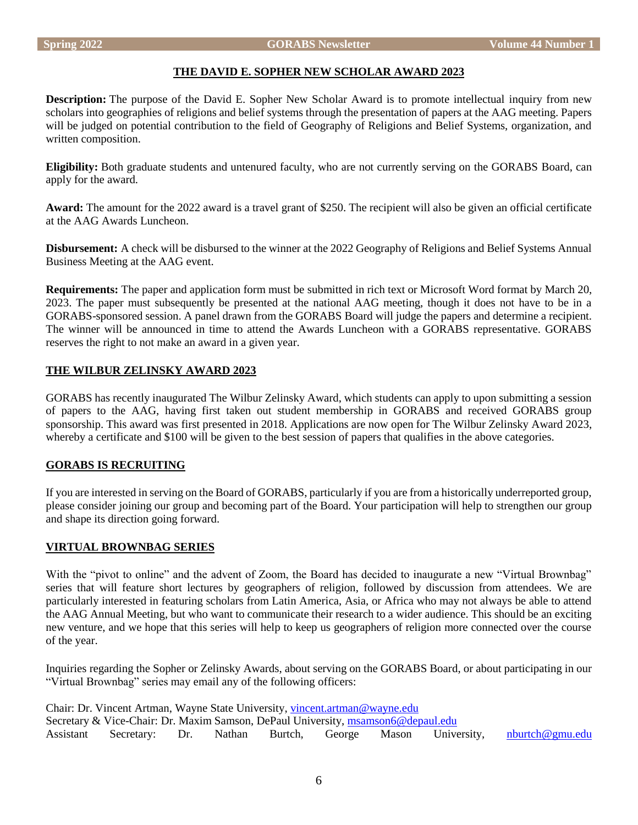# **THE DAVID E. SOPHER NEW SCHOLAR AWARD 2023**

**Description:** The purpose of the David E. Sopher New Scholar Award is to promote intellectual inquiry from new scholars into geographies of religions and belief systems through the presentation of papers at the AAG meeting. Papers will be judged on potential contribution to the field of Geography of Religions and Belief Systems, organization, and written composition.

**Eligibility:** Both graduate students and untenured faculty, who are not currently serving on the GORABS Board, can apply for the award.

**Award:** The amount for the 2022 award is a travel grant of \$250. The recipient will also be given an official certificate at the AAG Awards Luncheon.

**Disbursement:** A check will be disbursed to the winner at the 2022 Geography of Religions and Belief Systems Annual Business Meeting at the AAG event.

**Requirements:** The paper and application form must be submitted in rich text or Microsoft Word format by March 20, 2023. The paper must subsequently be presented at the national AAG meeting, though it does not have to be in a GORABS-sponsored session. A panel drawn from the GORABS Board will judge the papers and determine a recipient. The winner will be announced in time to attend the Awards Luncheon with a GORABS representative. GORABS reserves the right to not make an award in a given year.

# **THE WILBUR ZELINSKY AWARD 2023**

GORABS has recently inaugurated The Wilbur Zelinsky Award, which students can apply to upon submitting a session of papers to the AAG, having first taken out student membership in GORABS and received GORABS group sponsorship. This award was first presented in 2018. Applications are now open for The Wilbur Zelinsky Award 2023, whereby a certificate and \$100 will be given to the best session of papers that qualifies in the above categories.

# **GORABS IS RECRUITING**

If you are interested in serving on the Board of GORABS, particularly if you are from a historically underreported group, please consider joining our group and becoming part of the Board. Your participation will help to strengthen our group and shape its direction going forward.

# **VIRTUAL BROWNBAG SERIES**

With the "pivot to online" and the advent of Zoom, the Board has decided to inaugurate a new "Virtual Brownbag" series that will feature short lectures by geographers of religion, followed by discussion from attendees. We are particularly interested in featuring scholars from Latin America, Asia, or Africa who may not always be able to attend the AAG Annual Meeting, but who want to communicate their research to a wider audience. This should be an exciting new venture, and we hope that this series will help to keep us geographers of religion more connected over the course of the year.

Inquiries regarding the Sopher or Zelinsky Awards, about serving on the GORABS Board, or about participating in our "Virtual Brownbag" series may email any of the following officers:

Chair: Dr. Vincent Artman, Wayne State University, [vincent.artman@wayne.edu](mailto:vincent.artman@wayne.edu) Secretary & Vice-Chair: Dr. Maxim Samson, DePaul University, [msamson6@depaul.edu](mailto:msamson6@depaul.edu) Assistant Secretary: Dr. Nathan Burtch, George Mason University, [nburtch@gmu.edu](mailto:nburtch@gmu.edu)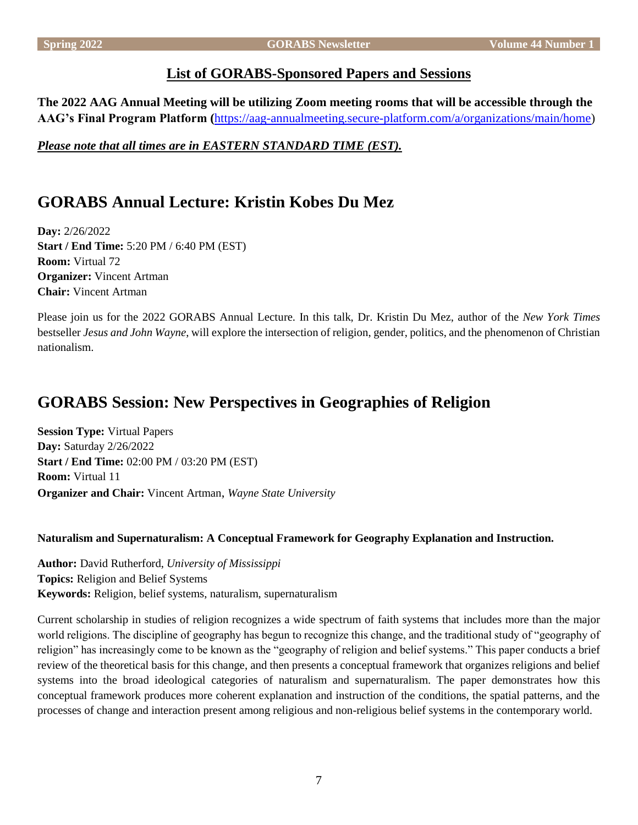# **List of GORABS-Sponsored Papers and Sessions**

**The 2022 AAG Annual Meeting will be utilizing Zoom meeting rooms that will be accessible through the AAG's Final Program Platform (**[https://aag-annualmeeting.secure-platform.com/a/organizations/main/home\)](https://aag-annualmeeting.secure-platform.com/a/organizations/main/home)

*Please note that all times are in EASTERN STANDARD TIME (EST).*

# **GORABS Annual Lecture: Kristin Kobes Du Mez**

**Day:** 2/26/2022 **Start / End Time:** 5:20 PM / 6:40 PM (EST) **Room:** Virtual 72 **Organizer:** Vincent Artman **Chair:** Vincent Artman

Please join us for the 2022 GORABS Annual Lecture. In this talk, Dr. Kristin Du Mez, author of the *New York Times* bestseller *Jesus and John Wayne*, will explore the intersection of religion, gender, politics, and the phenomenon of Christian nationalism.

# **GORABS Session: New Perspectives in Geographies of Religion**

**Session Type:** Virtual Papers **Day:** Saturday 2/26/2022 **Start / End Time:** 02:00 PM / 03:20 PM (EST) **Room:** Virtual 11 **Organizer and Chair:** Vincent Artman, *Wayne State University*

# **Naturalism and Supernaturalism: A Conceptual Framework for Geography Explanation and Instruction.**

**Author:** David Rutherford, *University of Mississippi* **Topics:** Religion and Belief Systems **Keywords:** Religion, belief systems, naturalism, supernaturalism

Current scholarship in studies of religion recognizes a wide spectrum of faith systems that includes more than the major world religions. The discipline of geography has begun to recognize this change, and the traditional study of "geography of religion" has increasingly come to be known as the "geography of religion and belief systems." This paper conducts a brief review of the theoretical basis for this change, and then presents a conceptual framework that organizes religions and belief systems into the broad ideological categories of naturalism and supernaturalism. The paper demonstrates how this conceptual framework produces more coherent explanation and instruction of the conditions, the spatial patterns, and the processes of change and interaction present among religious and non-religious belief systems in the contemporary world.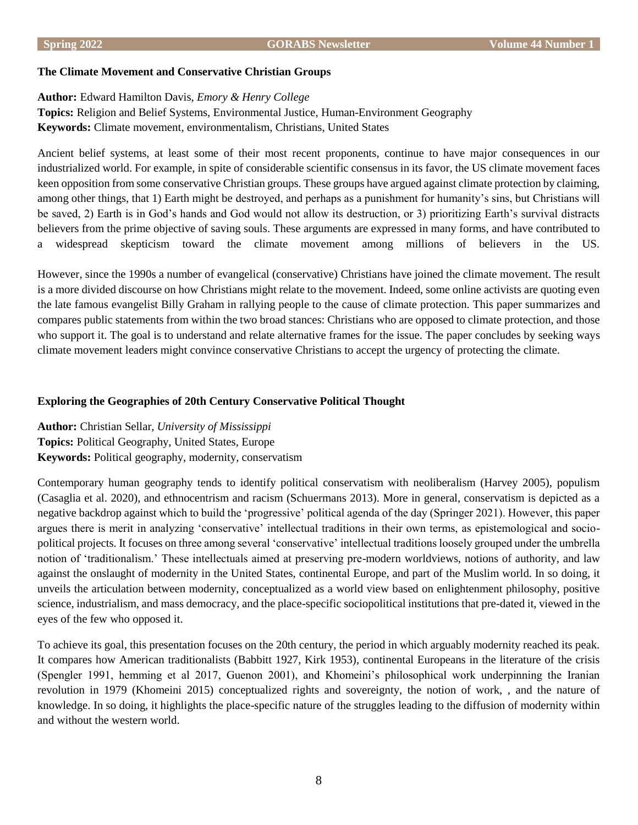#### **The Climate Movement and Conservative Christian Groups**

# **Author:** Edward Hamilton Davis, *Emory & Henry College*

**Topics:** Religion and Belief Systems, Environmental Justice, Human-Environment Geography **Keywords:** Climate movement, environmentalism, Christians, United States

Ancient belief systems, at least some of their most recent proponents, continue to have major consequences in our industrialized world. For example, in spite of considerable scientific consensus in its favor, the US climate movement faces keen opposition from some conservative Christian groups. These groups have argued against climate protection by claiming, among other things, that 1) Earth might be destroyed, and perhaps as a punishment for humanity's sins, but Christians will be saved, 2) Earth is in God's hands and God would not allow its destruction, or 3) prioritizing Earth's survival distracts believers from the prime objective of saving souls. These arguments are expressed in many forms, and have contributed to a widespread skepticism toward the climate movement among millions of believers in the US.

However, since the 1990s a number of evangelical (conservative) Christians have joined the climate movement. The result is a more divided discourse on how Christians might relate to the movement. Indeed, some online activists are quoting even the late famous evangelist Billy Graham in rallying people to the cause of climate protection. This paper summarizes and compares public statements from within the two broad stances: Christians who are opposed to climate protection, and those who support it. The goal is to understand and relate alternative frames for the issue. The paper concludes by seeking ways climate movement leaders might convince conservative Christians to accept the urgency of protecting the climate.

## **Exploring the Geographies of 20th Century Conservative Political Thought**

**Author:** Christian Sellar, *University of Mississippi* **Topics:** Political Geography, United States, Europe **Keywords:** Political geography, modernity, conservatism

Contemporary human geography tends to identify political conservatism with neoliberalism (Harvey 2005), populism (Casaglia et al. 2020), and ethnocentrism and racism (Schuermans 2013). More in general, conservatism is depicted as a negative backdrop against which to build the 'progressive' political agenda of the day (Springer 2021). However, this paper argues there is merit in analyzing 'conservative' intellectual traditions in their own terms, as epistemological and sociopolitical projects. It focuses on three among several 'conservative' intellectual traditions loosely grouped under the umbrella notion of 'traditionalism.' These intellectuals aimed at preserving pre-modern worldviews, notions of authority, and law against the onslaught of modernity in the United States, continental Europe, and part of the Muslim world. In so doing, it unveils the articulation between modernity, conceptualized as a world view based on enlightenment philosophy, positive science, industrialism, and mass democracy, and the place-specific sociopolitical institutions that pre-dated it, viewed in the eyes of the few who opposed it.

To achieve its goal, this presentation focuses on the 20th century, the period in which arguably modernity reached its peak. It compares how American traditionalists (Babbitt 1927, Kirk 1953), continental Europeans in the literature of the crisis (Spengler 1991, hemming et al 2017, Guenon 2001), and Khomeini's philosophical work underpinning the Iranian revolution in 1979 (Khomeini 2015) conceptualized rights and sovereignty, the notion of work, , and the nature of knowledge. In so doing, it highlights the place-specific nature of the struggles leading to the diffusion of modernity within and without the western world.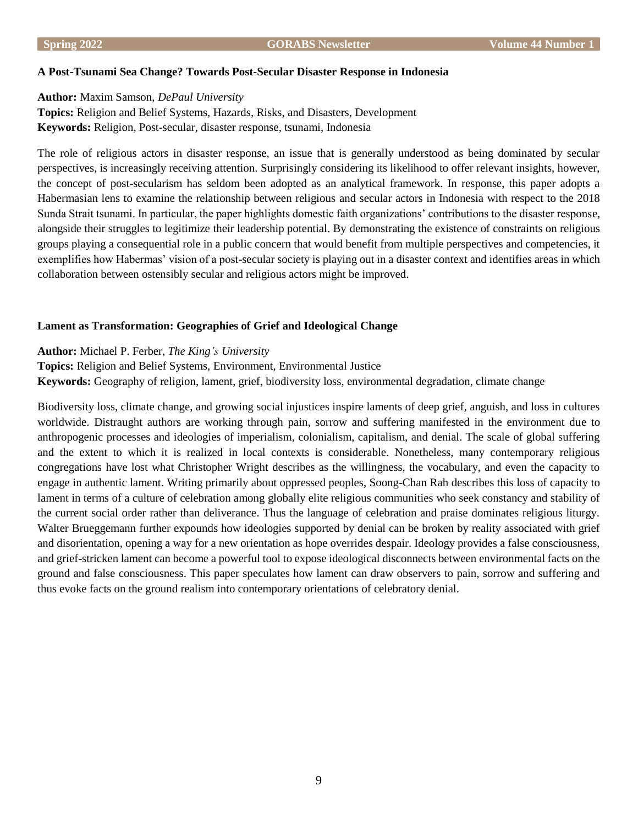#### **A Post-Tsunami Sea Change? Towards Post-Secular Disaster Response in Indonesia**

# **Author:** Maxim Samson, *DePaul University*

**Topics:** Religion and Belief Systems, Hazards, Risks, and Disasters, Development **Keywords:** Religion, Post-secular, disaster response, tsunami, Indonesia

The role of religious actors in disaster response, an issue that is generally understood as being dominated by secular perspectives, is increasingly receiving attention. Surprisingly considering its likelihood to offer relevant insights, however, the concept of post-secularism has seldom been adopted as an analytical framework. In response, this paper adopts a Habermasian lens to examine the relationship between religious and secular actors in Indonesia with respect to the 2018 Sunda Strait tsunami. In particular, the paper highlights domestic faith organizations' contributions to the disaster response, alongside their struggles to legitimize their leadership potential. By demonstrating the existence of constraints on religious groups playing a consequential role in a public concern that would benefit from multiple perspectives and competencies, it exemplifies how Habermas' vision of a post-secular society is playing out in a disaster context and identifies areas in which collaboration between ostensibly secular and religious actors might be improved.

# **Lament as Transformation: Geographies of Grief and Ideological Change**

# **Author:** Michael P. Ferber, *The King's University*

**Topics:** Religion and Belief Systems, Environment, Environmental Justice **Keywords:** Geography of religion, lament, grief, biodiversity loss, environmental degradation, climate change

Biodiversity loss, climate change, and growing social injustices inspire laments of deep grief, anguish, and loss in cultures worldwide. Distraught authors are working through pain, sorrow and suffering manifested in the environment due to anthropogenic processes and ideologies of imperialism, colonialism, capitalism, and denial. The scale of global suffering and the extent to which it is realized in local contexts is considerable. Nonetheless, many contemporary religious congregations have lost what Christopher Wright describes as the willingness, the vocabulary, and even the capacity to engage in authentic lament. Writing primarily about oppressed peoples, Soong-Chan Rah describes this loss of capacity to lament in terms of a culture of celebration among globally elite religious communities who seek constancy and stability of the current social order rather than deliverance. Thus the language of celebration and praise dominates religious liturgy. Walter Brueggemann further expounds how ideologies supported by denial can be broken by reality associated with grief and disorientation, opening a way for a new orientation as hope overrides despair. Ideology provides a false consciousness, and grief-stricken lament can become a powerful tool to expose ideological disconnects between environmental facts on the ground and false consciousness. This paper speculates how lament can draw observers to pain, sorrow and suffering and thus evoke facts on the ground realism into contemporary orientations of celebratory denial.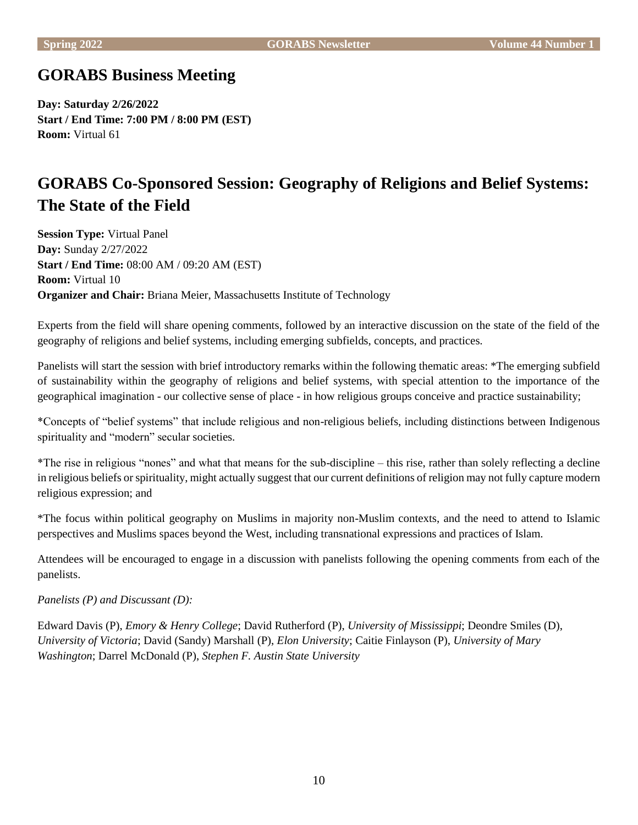# **GORABS Business Meeting**

**Day: Saturday 2/26/2022 Start / End Time: 7:00 PM / 8:00 PM (EST) Room:** Virtual 61

# **GORABS Co-Sponsored Session: Geography of Religions and Belief Systems: The State of the Field**

**Session Type:** Virtual Panel **Day:** Sunday 2/27/2022 **Start / End Time:** 08:00 AM / 09:20 AM (EST) **Room:** Virtual 10 **Organizer and Chair:** Briana Meier, Massachusetts Institute of Technology

Experts from the field will share opening comments, followed by an interactive discussion on the state of the field of the geography of religions and belief systems, including emerging subfields, concepts, and practices.

Panelists will start the session with brief introductory remarks within the following thematic areas: \*The emerging subfield of sustainability within the geography of religions and belief systems, with special attention to the importance of the geographical imagination - our collective sense of place - in how religious groups conceive and practice sustainability;

\*Concepts of "belief systems" that include religious and non-religious beliefs, including distinctions between Indigenous spirituality and "modern" secular societies.

\*The rise in religious "nones" and what that means for the sub-discipline – this rise, rather than solely reflecting a decline in religious beliefs or spirituality, might actually suggest that our current definitions of religion may not fully capture modern religious expression; and

\*The focus within political geography on Muslims in majority non-Muslim contexts, and the need to attend to Islamic perspectives and Muslims spaces beyond the West, including transnational expressions and practices of Islam.

Attendees will be encouraged to engage in a discussion with panelists following the opening comments from each of the panelists.

# *Panelists (P) and Discussant (D):*

Edward Davis (P), *Emory & Henry College*; David Rutherford (P), *University of Mississippi*; Deondre Smiles (D), *University of Victoria*; David (Sandy) Marshall (P), *Elon University*; Caitie Finlayson (P), *University of Mary Washington*; Darrel McDonald (P), *Stephen F. Austin State University*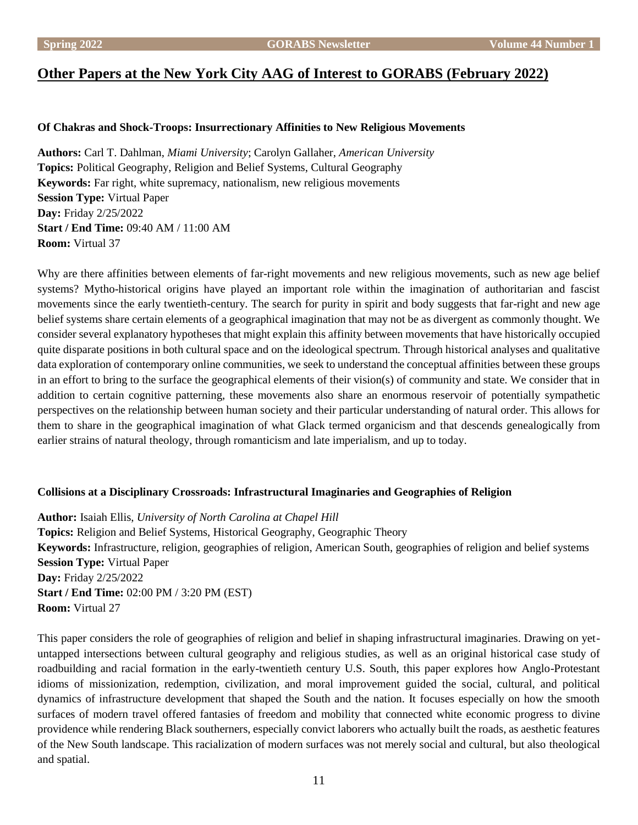# **Other Papers at the New York City AAG of Interest to GORABS (February 2022)**

# **Of Chakras and Shock-Troops: Insurrectionary Affinities to New Religious Movements**

**Authors:** Carl T. Dahlman, *Miami University*; Carolyn Gallaher, *American University* **Topics:** Political Geography, Religion and Belief Systems, Cultural Geography **Keywords:** Far right, white supremacy, nationalism, new religious movements **Session Type:** Virtual Paper **Day:** Friday 2/25/2022 **Start / End Time:** 09:40 AM / 11:00 AM **Room:** Virtual 37

Why are there affinities between elements of far-right movements and new religious movements, such as new age belief systems? Mytho-historical origins have played an important role within the imagination of authoritarian and fascist movements since the early twentieth-century. The search for purity in spirit and body suggests that far-right and new age belief systems share certain elements of a geographical imagination that may not be as divergent as commonly thought. We consider several explanatory hypotheses that might explain this affinity between movements that have historically occupied quite disparate positions in both cultural space and on the ideological spectrum. Through historical analyses and qualitative data exploration of contemporary online communities, we seek to understand the conceptual affinities between these groups in an effort to bring to the surface the geographical elements of their vision(s) of community and state. We consider that in addition to certain cognitive patterning, these movements also share an enormous reservoir of potentially sympathetic perspectives on the relationship between human society and their particular understanding of natural order. This allows for them to share in the geographical imagination of what Glack termed organicism and that descends genealogically from earlier strains of natural theology, through romanticism and late imperialism, and up to today.

#### **Collisions at a Disciplinary Crossroads: Infrastructural Imaginaries and Geographies of Religion**

**Author:** Isaiah Ellis, *University of North Carolina at Chapel Hill* **Topics:** Religion and Belief Systems, Historical Geography, Geographic Theory **Keywords:** Infrastructure, religion, geographies of religion, American South, geographies of religion and belief systems **Session Type:** Virtual Paper **Day:** Friday 2/25/2022 **Start / End Time:** 02:00 PM / 3:20 PM (EST) **Room:** Virtual 27

This paper considers the role of geographies of religion and belief in shaping infrastructural imaginaries. Drawing on yetuntapped intersections between cultural geography and religious studies, as well as an original historical case study of roadbuilding and racial formation in the early-twentieth century U.S. South, this paper explores how Anglo-Protestant idioms of missionization, redemption, civilization, and moral improvement guided the social, cultural, and political dynamics of infrastructure development that shaped the South and the nation. It focuses especially on how the smooth surfaces of modern travel offered fantasies of freedom and mobility that connected white economic progress to divine providence while rendering Black southerners, especially convict laborers who actually built the roads, as aesthetic features of the New South landscape. This racialization of modern surfaces was not merely social and cultural, but also theological and spatial.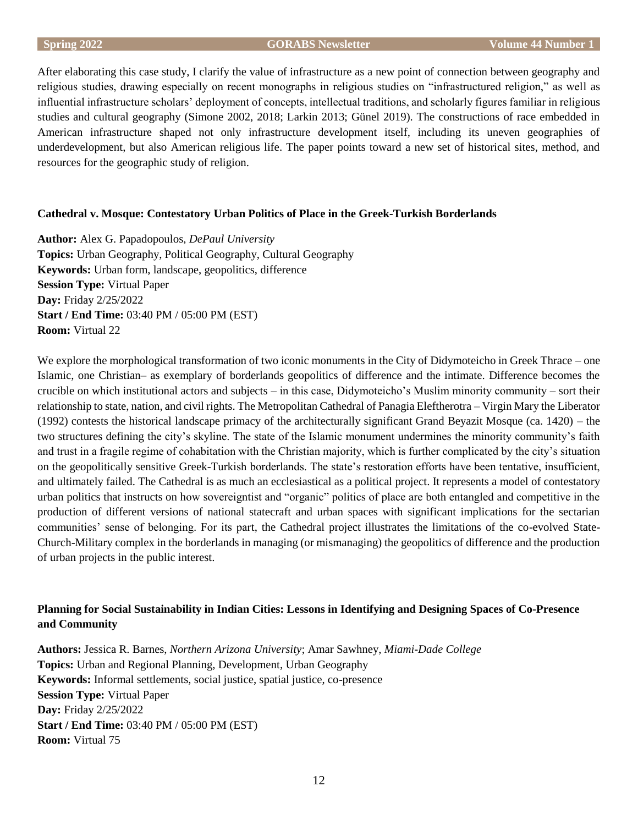After elaborating this case study, I clarify the value of infrastructure as a new point of connection between geography and religious studies, drawing especially on recent monographs in religious studies on "infrastructured religion," as well as influential infrastructure scholars' deployment of concepts, intellectual traditions, and scholarly figures familiar in religious studies and cultural geography (Simone 2002, 2018; Larkin 2013; Günel 2019). The constructions of race embedded in American infrastructure shaped not only infrastructure development itself, including its uneven geographies of underdevelopment, but also American religious life. The paper points toward a new set of historical sites, method, and resources for the geographic study of religion.

# **Cathedral v. Mosque: Contestatory Urban Politics of Place in the Greek-Turkish Borderlands**

**Author:** Alex G. Papadopoulos, *DePaul University* **Topics:** Urban Geography, Political Geography, Cultural Geography **Keywords:** Urban form, landscape, geopolitics, difference **Session Type:** Virtual Paper **Day:** Friday 2/25/2022 **Start / End Time:** 03:40 PM / 05:00 PM (EST) **Room:** Virtual 22

We explore the morphological transformation of two iconic monuments in the City of Didymoteicho in Greek Thrace – one Islamic, one Christian– as exemplary of borderlands geopolitics of difference and the intimate. Difference becomes the crucible on which institutional actors and subjects – in this case, Didymoteicho's Muslim minority community – sort their relationship to state, nation, and civil rights. The Metropolitan Cathedral of Panagia Eleftherotra – Virgin Mary the Liberator (1992) contests the historical landscape primacy of the architecturally significant Grand Beyazit Mosque (ca. 1420) – the two structures defining the city's skyline. The state of the Islamic monument undermines the minority community's faith and trust in a fragile regime of cohabitation with the Christian majority, which is further complicated by the city's situation on the geopolitically sensitive Greek-Turkish borderlands. The state's restoration efforts have been tentative, insufficient, and ultimately failed. The Cathedral is as much an ecclesiastical as a political project. It represents a model of contestatory urban politics that instructs on how sovereigntist and "organic" politics of place are both entangled and competitive in the production of different versions of national statecraft and urban spaces with significant implications for the sectarian communities' sense of belonging. For its part, the Cathedral project illustrates the limitations of the co-evolved State-Church-Military complex in the borderlands in managing (or mismanaging) the geopolitics of difference and the production of urban projects in the public interest.

# **Planning for Social Sustainability in Indian Cities: Lessons in Identifying and Designing Spaces of Co-Presence and Community**

**Authors:** Jessica R. Barnes, *Northern Arizona University*; Amar Sawhney, *Miami-Dade College* **Topics:** Urban and Regional Planning, Development, Urban Geography **Keywords:** Informal settlements, social justice, spatial justice, co-presence **Session Type:** Virtual Paper **Day:** Friday 2/25/2022 **Start / End Time:** 03:40 PM / 05:00 PM (EST) **Room:** Virtual 75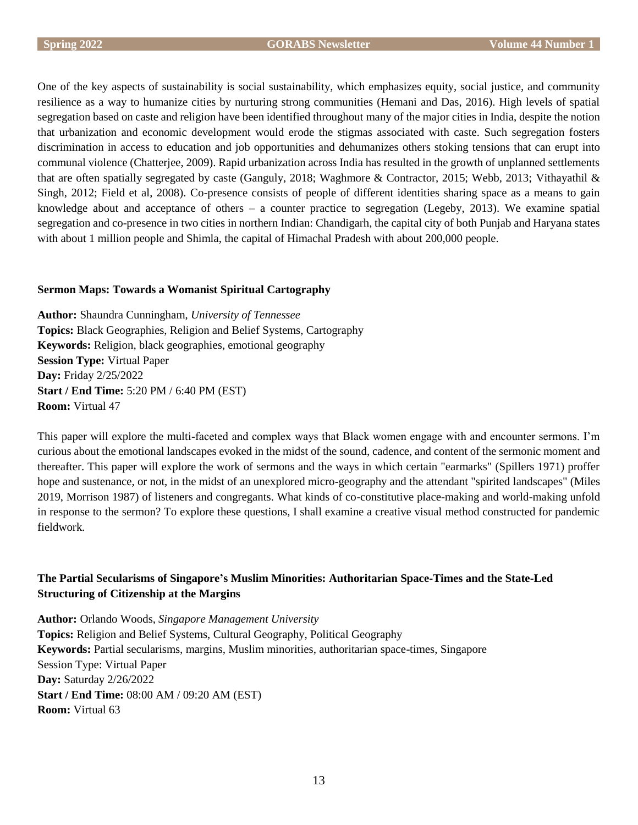One of the key aspects of sustainability is social sustainability, which emphasizes equity, social justice, and community resilience as a way to humanize cities by nurturing strong communities (Hemani and Das, 2016). High levels of spatial segregation based on caste and religion have been identified throughout many of the major cities in India, despite the notion that urbanization and economic development would erode the stigmas associated with caste. Such segregation fosters discrimination in access to education and job opportunities and dehumanizes others stoking tensions that can erupt into communal violence (Chatterjee, 2009). Rapid urbanization across India has resulted in the growth of unplanned settlements that are often spatially segregated by caste (Ganguly, 2018; Waghmore & Contractor, 2015; Webb, 2013; Vithayathil & Singh, 2012; Field et al, 2008). Co-presence consists of people of different identities sharing space as a means to gain knowledge about and acceptance of others – a counter practice to segregation (Legeby, 2013). We examine spatial segregation and co-presence in two cities in northern Indian: Chandigarh, the capital city of both Punjab and Haryana states with about 1 million people and Shimla, the capital of Himachal Pradesh with about 200,000 people.

# **Sermon Maps: Towards a Womanist Spiritual Cartography**

**Author:** Shaundra Cunningham, *University of Tennessee* **Topics:** Black Geographies, Religion and Belief Systems, Cartography **Keywords:** Religion, black geographies, emotional geography **Session Type:** Virtual Paper **Day:** Friday 2/25/2022 **Start / End Time:** 5:20 PM / 6:40 PM (EST) **Room:** Virtual 47

This paper will explore the multi-faceted and complex ways that Black women engage with and encounter sermons. I'm curious about the emotional landscapes evoked in the midst of the sound, cadence, and content of the sermonic moment and thereafter. This paper will explore the work of sermons and the ways in which certain "earmarks" (Spillers 1971) proffer hope and sustenance, or not, in the midst of an unexplored micro-geography and the attendant "spirited landscapes" (Miles 2019, Morrison 1987) of listeners and congregants. What kinds of co-constitutive place-making and world-making unfold in response to the sermon? To explore these questions, I shall examine a creative visual method constructed for pandemic fieldwork.

# **The Partial Secularisms of Singapore's Muslim Minorities: Authoritarian Space-Times and the State-Led Structuring of Citizenship at the Margins**

**Author:** Orlando Woods, *Singapore Management University* **Topics:** Religion and Belief Systems, Cultural Geography, Political Geography **Keywords:** Partial secularisms, margins, Muslim minorities, authoritarian space-times, Singapore Session Type: Virtual Paper **Day:** Saturday 2/26/2022 **Start / End Time:** 08:00 AM / 09:20 AM (EST) **Room:** Virtual 63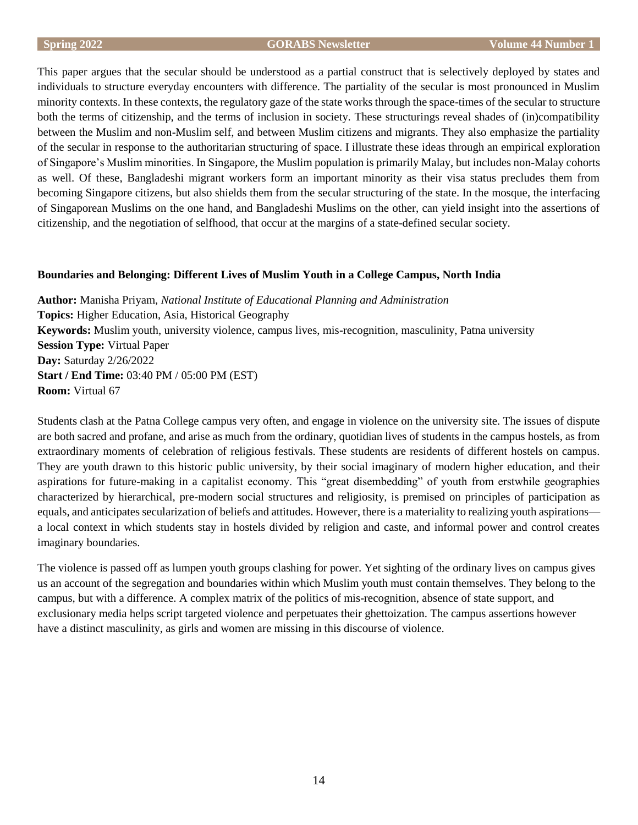This paper argues that the secular should be understood as a partial construct that is selectively deployed by states and individuals to structure everyday encounters with difference. The partiality of the secular is most pronounced in Muslim minority contexts. In these contexts, the regulatory gaze of the state works through the space-times of the secular to structure both the terms of citizenship, and the terms of inclusion in society. These structurings reveal shades of (in)compatibility between the Muslim and non-Muslim self, and between Muslim citizens and migrants. They also emphasize the partiality of the secular in response to the authoritarian structuring of space. I illustrate these ideas through an empirical exploration of Singapore's Muslim minorities. In Singapore, the Muslim population is primarily Malay, but includes non-Malay cohorts as well. Of these, Bangladeshi migrant workers form an important minority as their visa status precludes them from becoming Singapore citizens, but also shields them from the secular structuring of the state. In the mosque, the interfacing of Singaporean Muslims on the one hand, and Bangladeshi Muslims on the other, can yield insight into the assertions of citizenship, and the negotiation of selfhood, that occur at the margins of a state-defined secular society.

# **Boundaries and Belonging: Different Lives of Muslim Youth in a College Campus, North India**

**Author:** Manisha Priyam, *National Institute of Educational Planning and Administration* **Topics:** Higher Education, Asia, Historical Geography **Keywords:** Muslim youth, university violence, campus lives, mis-recognition, masculinity, Patna university **Session Type:** Virtual Paper **Day:** Saturday 2/26/2022 **Start / End Time:** 03:40 PM / 05:00 PM (EST) **Room:** Virtual 67

Students clash at the Patna College campus very often, and engage in violence on the university site. The issues of dispute are both sacred and profane, and arise as much from the ordinary, quotidian lives of students in the campus hostels, as from extraordinary moments of celebration of religious festivals. These students are residents of different hostels on campus. They are youth drawn to this historic public university, by their social imaginary of modern higher education, and their aspirations for future-making in a capitalist economy. This "great disembedding" of youth from erstwhile geographies characterized by hierarchical, pre-modern social structures and religiosity, is premised on principles of participation as equals, and anticipates secularization of beliefs and attitudes. However, there is a materiality to realizing youth aspirations a local context in which students stay in hostels divided by religion and caste, and informal power and control creates imaginary boundaries.

The violence is passed off as lumpen youth groups clashing for power. Yet sighting of the ordinary lives on campus gives us an account of the segregation and boundaries within which Muslim youth must contain themselves. They belong to the campus, but with a difference. A complex matrix of the politics of mis-recognition, absence of state support, and exclusionary media helps script targeted violence and perpetuates their ghettoization. The campus assertions however have a distinct masculinity, as girls and women are missing in this discourse of violence.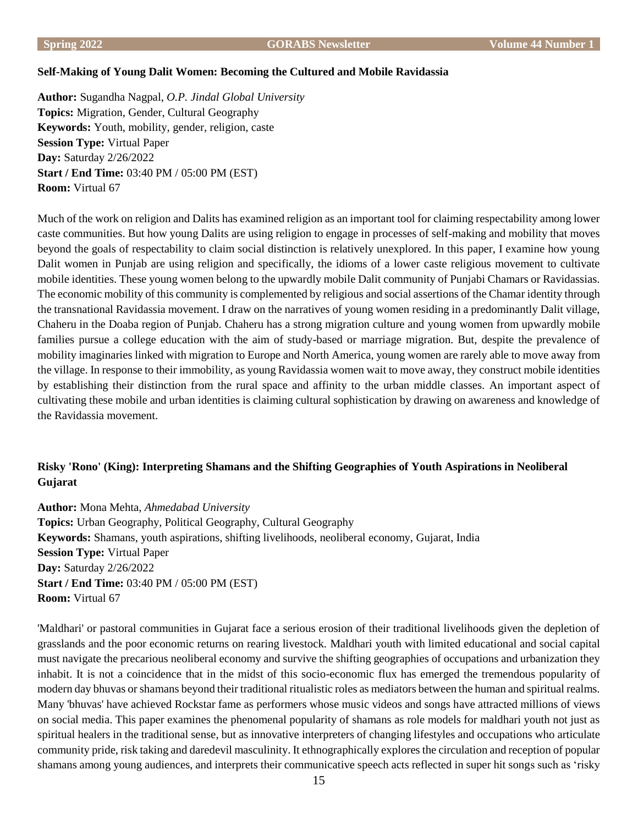#### **Self-Making of Young Dalit Women: Becoming the Cultured and Mobile Ravidassia**

**Author:** Sugandha Nagpal, *O.P. Jindal Global University* **Topics:** Migration, Gender, Cultural Geography **Keywords:** Youth, mobility, gender, religion, caste **Session Type:** Virtual Paper **Day:** Saturday 2/26/2022 **Start / End Time:** 03:40 PM / 05:00 PM (EST) **Room:** Virtual 67

Much of the work on religion and Dalits has examined religion as an important tool for claiming respectability among lower caste communities. But how young Dalits are using religion to engage in processes of self-making and mobility that moves beyond the goals of respectability to claim social distinction is relatively unexplored. In this paper, I examine how young Dalit women in Punjab are using religion and specifically, the idioms of a lower caste religious movement to cultivate mobile identities. These young women belong to the upwardly mobile Dalit community of Punjabi Chamars or Ravidassias. The economic mobility of this community is complemented by religious and social assertions of the Chamar identity through the transnational Ravidassia movement. I draw on the narratives of young women residing in a predominantly Dalit village, Chaheru in the Doaba region of Punjab. Chaheru has a strong migration culture and young women from upwardly mobile families pursue a college education with the aim of study-based or marriage migration. But, despite the prevalence of mobility imaginaries linked with migration to Europe and North America, young women are rarely able to move away from the village. In response to their immobility, as young Ravidassia women wait to move away, they construct mobile identities by establishing their distinction from the rural space and affinity to the urban middle classes. An important aspect of cultivating these mobile and urban identities is claiming cultural sophistication by drawing on awareness and knowledge of the Ravidassia movement.

# **Risky 'Rono' (King): Interpreting Shamans and the Shifting Geographies of Youth Aspirations in Neoliberal Gujarat**

**Author:** Mona Mehta, *Ahmedabad University* **Topics:** Urban Geography, Political Geography, Cultural Geography **Keywords:** Shamans, youth aspirations, shifting livelihoods, neoliberal economy, Gujarat, India **Session Type:** Virtual Paper **Day:** Saturday 2/26/2022 **Start / End Time:** 03:40 PM / 05:00 PM (EST) **Room:** Virtual 67

'Maldhari' or pastoral communities in Gujarat face a serious erosion of their traditional livelihoods given the depletion of grasslands and the poor economic returns on rearing livestock. Maldhari youth with limited educational and social capital must navigate the precarious neoliberal economy and survive the shifting geographies of occupations and urbanization they inhabit. It is not a coincidence that in the midst of this socio-economic flux has emerged the tremendous popularity of modern day bhuvas or shamans beyond their traditional ritualistic roles as mediators between the human and spiritual realms. Many 'bhuvas' have achieved Rockstar fame as performers whose music videos and songs have attracted millions of views on social media. This paper examines the phenomenal popularity of shamans as role models for maldhari youth not just as spiritual healers in the traditional sense, but as innovative interpreters of changing lifestyles and occupations who articulate community pride, risk taking and daredevil masculinity. It ethnographically explores the circulation and reception of popular shamans among young audiences, and interprets their communicative speech acts reflected in super hit songs such as 'risky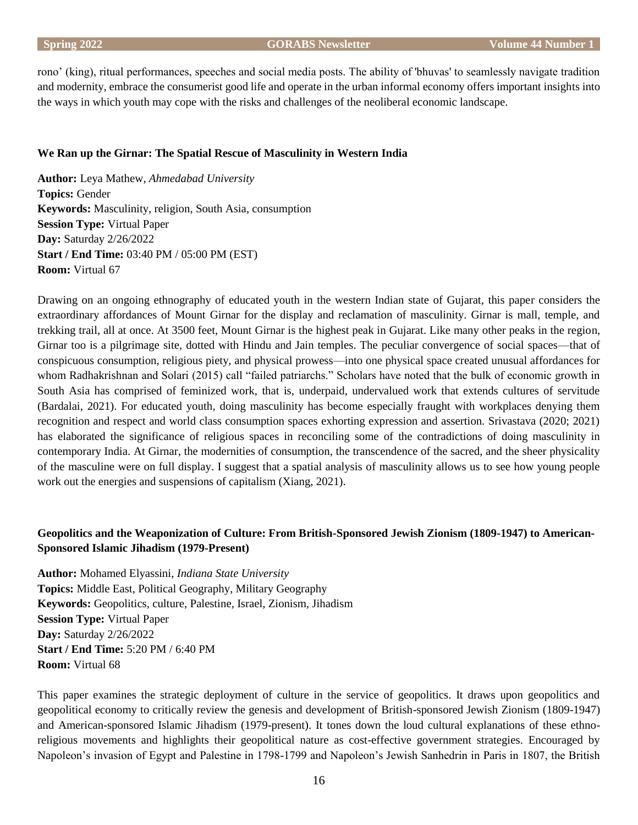rono' (king), ritual performances, speeches and social media posts. The ability of 'bhuvas' to seamlessly navigate tradition and modernity, embrace the consumerist good life and operate in the urban informal economy offers important insights into the ways in which youth may cope with the risks and challenges of the neoliberal economic landscape.

#### **We Ran up the Girnar: The Spatial Rescue of Masculinity in Western India**

**Author:** Leya Mathew, *Ahmedabad University* **Topics:** Gender **Keywords:** Masculinity, religion, South Asia, consumption **Session Type:** Virtual Paper **Day:** Saturday 2/26/2022 **Start / End Time:** 03:40 PM / 05:00 PM (EST) **Room:** Virtual 67

Drawing on an ongoing ethnography of educated youth in the western Indian state of Gujarat, this paper considers the extraordinary affordances of Mount Girnar for the display and reclamation of masculinity. Girnar is mall, temple, and trekking trail, all at once. At 3500 feet, Mount Girnar is the highest peak in Gujarat. Like many other peaks in the region, Girnar too is a pilgrimage site, dotted with Hindu and Jain temples. The peculiar convergence of social spaces—that of conspicuous consumption, religious piety, and physical prowess—into one physical space created unusual affordances for whom Radhakrishnan and Solari (2015) call "failed patriarchs." Scholars have noted that the bulk of economic growth in South Asia has comprised of feminized work, that is, underpaid, undervalued work that extends cultures of servitude (Bardalai, 2021). For educated youth, doing masculinity has become especially fraught with workplaces denying them recognition and respect and world class consumption spaces exhorting expression and assertion. Srivastava (2020; 2021) has elaborated the significance of religious spaces in reconciling some of the contradictions of doing masculinity in contemporary India. At Girnar, the modernities of consumption, the transcendence of the sacred, and the sheer physicality of the masculine were on full display. I suggest that a spatial analysis of masculinity allows us to see how young people work out the energies and suspensions of capitalism (Xiang, 2021).

# **Geopolitics and the Weaponization of Culture: From British-Sponsored Jewish Zionism (1809-1947) to American-Sponsored Islamic Jihadism (1979-Present)**

**Author:** Mohamed Elyassini, *Indiana State University* **Topics:** Middle East, Political Geography, Military Geography **Keywords:** Geopolitics, culture, Palestine, Israel, Zionism, Jihadism **Session Type:** Virtual Paper **Day:** Saturday 2/26/2022 **Start / End Time:** 5:20 PM / 6:40 PM **Room:** Virtual 68

This paper examines the strategic deployment of culture in the service of geopolitics. It draws upon geopolitics and geopolitical economy to critically review the genesis and development of British-sponsored Jewish Zionism (1809-1947) and American-sponsored Islamic Jihadism (1979-present). It tones down the loud cultural explanations of these ethnoreligious movements and highlights their geopolitical nature as cost-effective government strategies. Encouraged by Napoleon's invasion of Egypt and Palestine in 1798-1799 and Napoleon's Jewish Sanhedrin in Paris in 1807, the British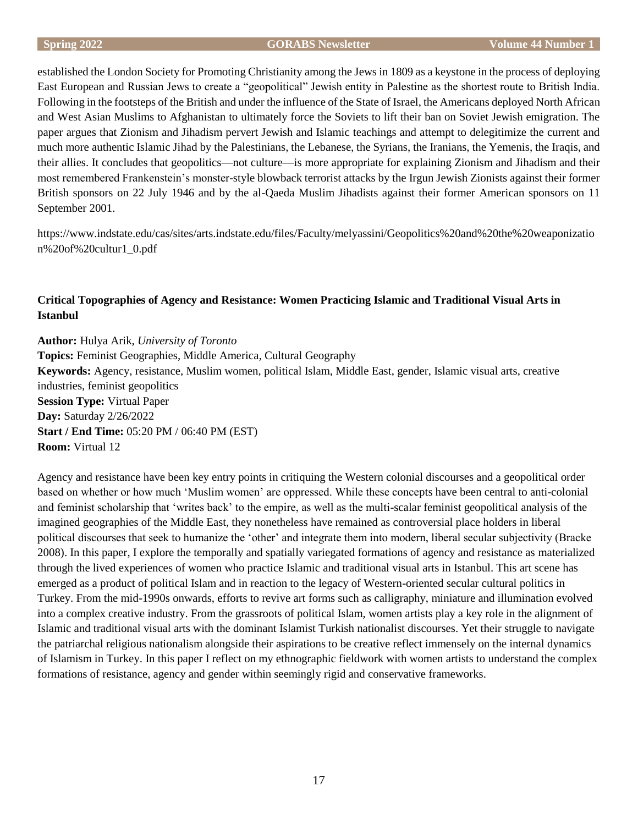established the London Society for Promoting Christianity among the Jews in 1809 as a keystone in the process of deploying East European and Russian Jews to create a "geopolitical" Jewish entity in Palestine as the shortest route to British India. Following in the footsteps of the British and under the influence of the State of Israel, the Americans deployed North African and West Asian Muslims to Afghanistan to ultimately force the Soviets to lift their ban on Soviet Jewish emigration. The paper argues that Zionism and Jihadism pervert Jewish and Islamic teachings and attempt to delegitimize the current and much more authentic Islamic Jihad by the Palestinians, the Lebanese, the Syrians, the Iranians, the Yemenis, the Iraqis, and their allies. It concludes that geopolitics—not culture—is more appropriate for explaining Zionism and Jihadism and their most remembered Frankenstein's monster-style blowback terrorist attacks by the Irgun Jewish Zionists against their former British sponsors on 22 July 1946 and by the al-Qaeda Muslim Jihadists against their former American sponsors on 11 September 2001.

https://www.indstate.edu/cas/sites/arts.indstate.edu/files/Faculty/melyassini/Geopolitics%20and%20the%20weaponizatio n%20of%20cultur1\_0.pdf

# **Critical Topographies of Agency and Resistance: Women Practicing Islamic and Traditional Visual Arts in Istanbul**

**Author:** Hulya Arik, *University of Toronto* **Topics:** Feminist Geographies, Middle America, Cultural Geography **Keywords:** Agency, resistance, Muslim women, political Islam, Middle East, gender, Islamic visual arts, creative industries, feminist geopolitics **Session Type:** Virtual Paper **Day:** Saturday 2/26/2022 **Start / End Time:** 05:20 PM / 06:40 PM (EST) **Room:** Virtual 12

Agency and resistance have been key entry points in critiquing the Western colonial discourses and a geopolitical order based on whether or how much 'Muslim women' are oppressed. While these concepts have been central to anti-colonial and feminist scholarship that 'writes back' to the empire, as well as the multi-scalar feminist geopolitical analysis of the imagined geographies of the Middle East, they nonetheless have remained as controversial place holders in liberal political discourses that seek to humanize the 'other' and integrate them into modern, liberal secular subjectivity (Bracke 2008). In this paper, I explore the temporally and spatially variegated formations of agency and resistance as materialized through the lived experiences of women who practice Islamic and traditional visual arts in Istanbul. This art scene has emerged as a product of political Islam and in reaction to the legacy of Western-oriented secular cultural politics in Turkey. From the mid-1990s onwards, efforts to revive art forms such as calligraphy, miniature and illumination evolved into a complex creative industry. From the grassroots of political Islam, women artists play a key role in the alignment of Islamic and traditional visual arts with the dominant Islamist Turkish nationalist discourses. Yet their struggle to navigate the patriarchal religious nationalism alongside their aspirations to be creative reflect immensely on the internal dynamics of Islamism in Turkey. In this paper I reflect on my ethnographic fieldwork with women artists to understand the complex formations of resistance, agency and gender within seemingly rigid and conservative frameworks.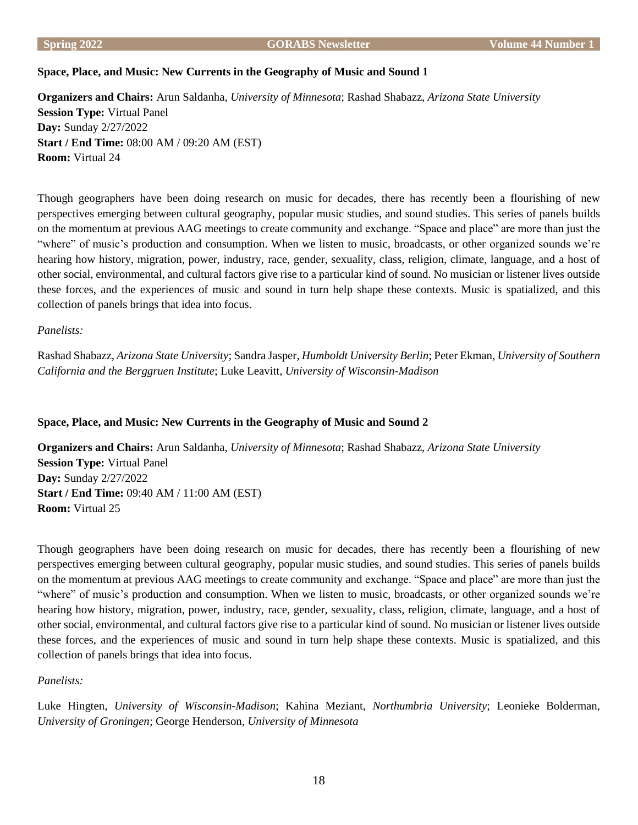# **Space, Place, and Music: New Currents in the Geography of Music and Sound 1**

**Organizers and Chairs:** Arun Saldanha, *University of Minnesota*; Rashad Shabazz, *Arizona State University* **Session Type:** Virtual Panel **Day:** Sunday 2/27/2022 **Start / End Time:** 08:00 AM / 09:20 AM (EST) **Room:** Virtual 24

Though geographers have been doing research on music for decades, there has recently been a flourishing of new perspectives emerging between cultural geography, popular music studies, and sound studies. This series of panels builds on the momentum at previous AAG meetings to create community and exchange. "Space and place" are more than just the "where" of music's production and consumption. When we listen to music, broadcasts, or other organized sounds we're hearing how history, migration, power, industry, race, gender, sexuality, class, religion, climate, language, and a host of other social, environmental, and cultural factors give rise to a particular kind of sound. No musician or listener lives outside these forces, and the experiences of music and sound in turn help shape these contexts. Music is spatialized, and this collection of panels brings that idea into focus.

# *Panelists:*

Rashad Shabazz, *Arizona State University*; Sandra Jasper, *Humboldt University Berlin*; Peter Ekman, *University of Southern California and the Berggruen Institute*; Luke Leavitt, *University of Wisconsin-Madison*

# **Space, Place, and Music: New Currents in the Geography of Music and Sound 2**

**Organizers and Chairs:** Arun Saldanha, *University of Minnesota*; Rashad Shabazz, *Arizona State University* **Session Type:** Virtual Panel **Day:** Sunday 2/27/2022 **Start / End Time:** 09:40 AM / 11:00 AM (EST) **Room:** Virtual 25

Though geographers have been doing research on music for decades, there has recently been a flourishing of new perspectives emerging between cultural geography, popular music studies, and sound studies. This series of panels builds on the momentum at previous AAG meetings to create community and exchange. "Space and place" are more than just the "where" of music's production and consumption. When we listen to music, broadcasts, or other organized sounds we're hearing how history, migration, power, industry, race, gender, sexuality, class, religion, climate, language, and a host of other social, environmental, and cultural factors give rise to a particular kind of sound. No musician or listener lives outside these forces, and the experiences of music and sound in turn help shape these contexts. Music is spatialized, and this collection of panels brings that idea into focus.

# *Panelists:*

Luke Hingten, *University of Wisconsin-Madison*; Kahina Meziant, *Northumbria University*; Leonieke Bolderman, *University of Groningen*; George Henderson, *University of Minnesota*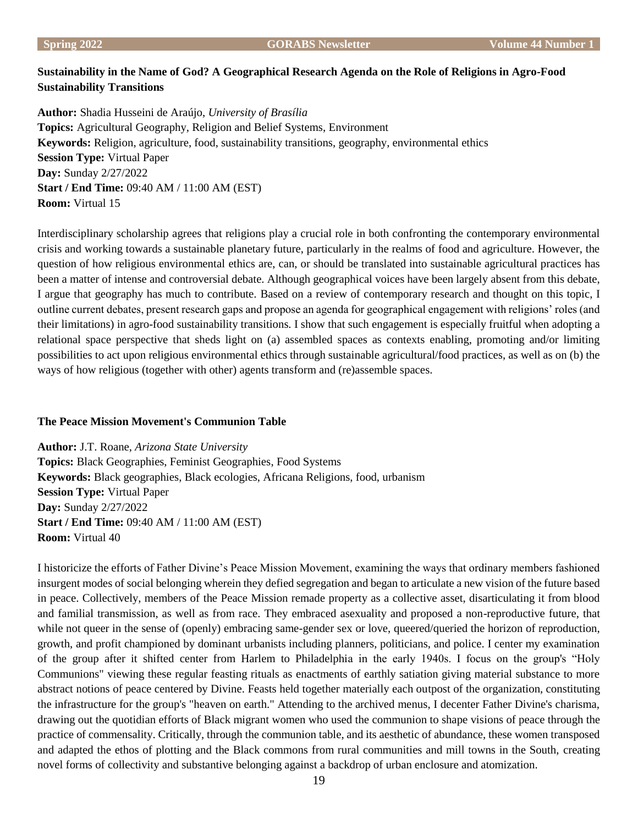# **Sustainability in the Name of God? A Geographical Research Agenda on the Role of Religions in Agro-Food Sustainability Transitions**

**Author:** Shadia Husseini de Araújo, *University of Brasília* **Topics:** Agricultural Geography, Religion and Belief Systems, Environment **Keywords:** Religion, agriculture, food, sustainability transitions, geography, environmental ethics **Session Type:** Virtual Paper **Day:** Sunday 2/27/2022 **Start / End Time:** 09:40 AM / 11:00 AM (EST) **Room:** Virtual 15

Interdisciplinary scholarship agrees that religions play a crucial role in both confronting the contemporary environmental crisis and working towards a sustainable planetary future, particularly in the realms of food and agriculture. However, the question of how religious environmental ethics are, can, or should be translated into sustainable agricultural practices has been a matter of intense and controversial debate. Although geographical voices have been largely absent from this debate, I argue that geography has much to contribute. Based on a review of contemporary research and thought on this topic, I outline current debates, present research gaps and propose an agenda for geographical engagement with religions' roles (and their limitations) in agro-food sustainability transitions. I show that such engagement is especially fruitful when adopting a relational space perspective that sheds light on (a) assembled spaces as contexts enabling, promoting and/or limiting possibilities to act upon religious environmental ethics through sustainable agricultural/food practices, as well as on (b) the ways of how religious (together with other) agents transform and (re)assemble spaces.

# **The Peace Mission Movement's Communion Table**

**Author:** J.T. Roane, *Arizona State University* **Topics:** Black Geographies, Feminist Geographies, Food Systems **Keywords:** Black geographies, Black ecologies, Africana Religions, food, urbanism **Session Type:** Virtual Paper **Day:** Sunday 2/27/2022 **Start / End Time:** 09:40 AM / 11:00 AM (EST) **Room:** Virtual 40

I historicize the efforts of Father Divine's Peace Mission Movement, examining the ways that ordinary members fashioned insurgent modes of social belonging wherein they defied segregation and began to articulate a new vision of the future based in peace. Collectively, members of the Peace Mission remade property as a collective asset, disarticulating it from blood and familial transmission, as well as from race. They embraced asexuality and proposed a non-reproductive future, that while not queer in the sense of (openly) embracing same-gender sex or love, queered/queried the horizon of reproduction, growth, and profit championed by dominant urbanists including planners, politicians, and police. I center my examination of the group after it shifted center from Harlem to Philadelphia in the early 1940s. I focus on the group's "Holy Communions" viewing these regular feasting rituals as enactments of earthly satiation giving material substance to more abstract notions of peace centered by Divine. Feasts held together materially each outpost of the organization, constituting the infrastructure for the group's "heaven on earth." Attending to the archived menus, I decenter Father Divine's charisma, drawing out the quotidian efforts of Black migrant women who used the communion to shape visions of peace through the practice of commensality. Critically, through the communion table, and its aesthetic of abundance, these women transposed and adapted the ethos of plotting and the Black commons from rural communities and mill towns in the South, creating novel forms of collectivity and substantive belonging against a backdrop of urban enclosure and atomization.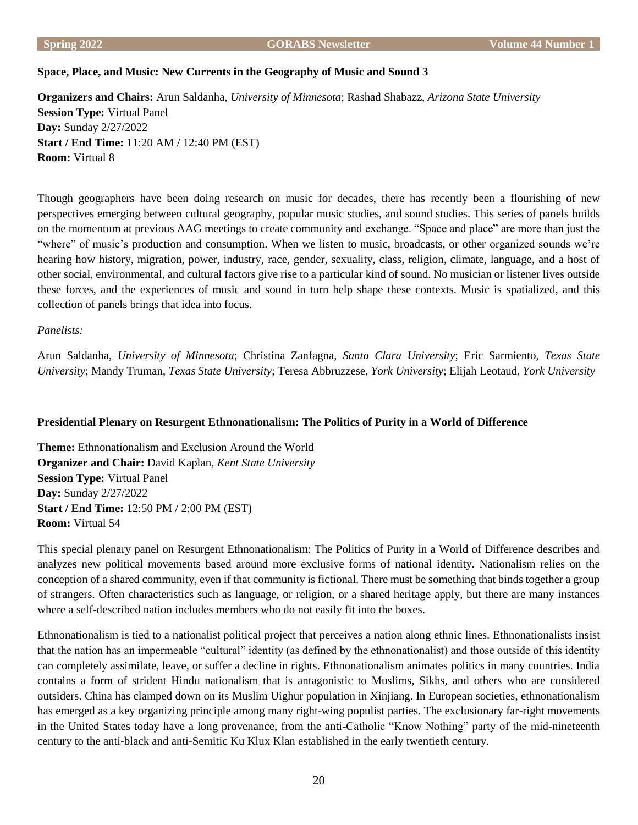# **Space, Place, and Music: New Currents in the Geography of Music and Sound 3**

**Organizers and Chairs:** Arun Saldanha, *University of Minnesota*; Rashad Shabazz, *Arizona State University* **Session Type:** Virtual Panel **Day:** Sunday 2/27/2022 **Start / End Time:** 11:20 AM / 12:40 PM (EST) **Room:** Virtual 8

Though geographers have been doing research on music for decades, there has recently been a flourishing of new perspectives emerging between cultural geography, popular music studies, and sound studies. This series of panels builds on the momentum at previous AAG meetings to create community and exchange. "Space and place" are more than just the "where" of music's production and consumption. When we listen to music, broadcasts, or other organized sounds we're hearing how history, migration, power, industry, race, gender, sexuality, class, religion, climate, language, and a host of other social, environmental, and cultural factors give rise to a particular kind of sound. No musician or listener lives outside these forces, and the experiences of music and sound in turn help shape these contexts. Music is spatialized, and this collection of panels brings that idea into focus.

# *Panelists:*

Arun Saldanha, *University of Minnesota*; Christina Zanfagna, *Santa Clara University*; Eric Sarmiento, *Texas State University*; Mandy Truman, *Texas State University*; Teresa Abbruzzese, *York University*; Elijah Leotaud, *York University*

# **Presidential Plenary on Resurgent Ethnonationalism: The Politics of Purity in a World of Difference**

**Theme:** Ethnonationalism and Exclusion Around the World **Organizer and Chair:** David Kaplan, *Kent State University* **Session Type:** Virtual Panel **Day:** Sunday 2/27/2022 **Start / End Time:** 12:50 PM / 2:00 PM (EST) **Room:** Virtual 54

This special plenary panel on Resurgent Ethnonationalism: The Politics of Purity in a World of Difference describes and analyzes new political movements based around more exclusive forms of national identity. Nationalism relies on the conception of a shared community, even if that community is fictional. There must be something that binds together a group of strangers. Often characteristics such as language, or religion, or a shared heritage apply, but there are many instances where a self-described nation includes members who do not easily fit into the boxes.

Ethnonationalism is tied to a nationalist political project that perceives a nation along ethnic lines. Ethnonationalists insist that the nation has an impermeable "cultural" identity (as defined by the ethnonationalist) and those outside of this identity can completely assimilate, leave, or suffer a decline in rights. Ethnonationalism animates politics in many countries. India contains a form of strident Hindu nationalism that is antagonistic to Muslims, Sikhs, and others who are considered outsiders. China has clamped down on its Muslim Uighur population in Xinjiang. In European societies, ethnonationalism has emerged as a key organizing principle among many right-wing populist parties. The exclusionary far-right movements in the United States today have a long provenance, from the anti-Catholic "Know Nothing" party of the mid-nineteenth century to the anti-black and anti-Semitic Ku Klux Klan established in the early twentieth century.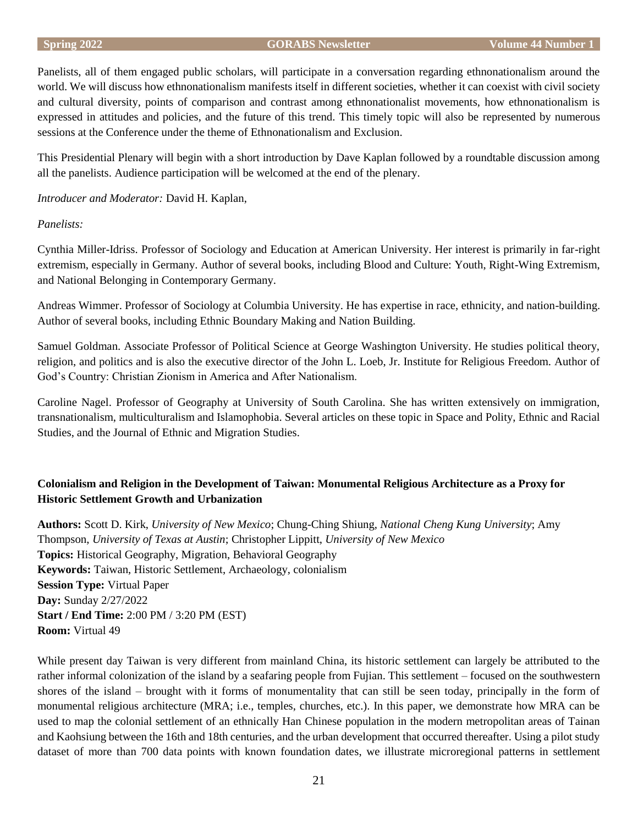#### **Spring 2022 GORABS Newsletter Volume 44 Number 1**

Panelists, all of them engaged public scholars, will participate in a conversation regarding ethnonationalism around the world. We will discuss how ethnonationalism manifests itself in different societies, whether it can coexist with civil society and cultural diversity, points of comparison and contrast among ethnonationalist movements, how ethnonationalism is expressed in attitudes and policies, and the future of this trend. This timely topic will also be represented by numerous sessions at the Conference under the theme of Ethnonationalism and Exclusion.

This Presidential Plenary will begin with a short introduction by Dave Kaplan followed by a roundtable discussion among all the panelists. Audience participation will be welcomed at the end of the plenary.

*Introducer and Moderator:* David H. Kaplan,

# *Panelists:*

Cynthia Miller-Idriss. Professor of Sociology and Education at American University. Her interest is primarily in far-right extremism, especially in Germany. Author of several books, including Blood and Culture: Youth, Right-Wing Extremism, and National Belonging in Contemporary Germany.

Andreas Wimmer. Professor of Sociology at Columbia University. He has expertise in race, ethnicity, and nation-building. Author of several books, including Ethnic Boundary Making and Nation Building.

Samuel Goldman. Associate Professor of Political Science at George Washington University. He studies political theory, religion, and politics and is also the executive director of the John L. Loeb, Jr. Institute for Religious Freedom. Author of God's Country: Christian Zionism in America and After Nationalism.

Caroline Nagel. Professor of Geography at University of South Carolina. She has written extensively on immigration, transnationalism, multiculturalism and Islamophobia. Several articles on these topic in Space and Polity, Ethnic and Racial Studies, and the Journal of Ethnic and Migration Studies.

# **Colonialism and Religion in the Development of Taiwan: Monumental Religious Architecture as a Proxy for Historic Settlement Growth and Urbanization**

**Authors:** Scott D. Kirk, *University of New Mexico*; Chung-Ching Shiung, *National Cheng Kung University*; Amy Thompson, *University of Texas at Austin*; Christopher Lippitt, *University of New Mexico* **Topics:** Historical Geography, Migration, Behavioral Geography **Keywords:** Taiwan, Historic Settlement, Archaeology, colonialism **Session Type:** Virtual Paper **Day:** Sunday 2/27/2022 **Start / End Time:** 2:00 PM / 3:20 PM (EST) **Room:** Virtual 49

While present day Taiwan is very different from mainland China, its historic settlement can largely be attributed to the rather informal colonization of the island by a seafaring people from Fujian. This settlement – focused on the southwestern shores of the island – brought with it forms of monumentality that can still be seen today, principally in the form of monumental religious architecture (MRA; i.e., temples, churches, etc.). In this paper, we demonstrate how MRA can be used to map the colonial settlement of an ethnically Han Chinese population in the modern metropolitan areas of Tainan and Kaohsiung between the 16th and 18th centuries, and the urban development that occurred thereafter. Using a pilot study dataset of more than 700 data points with known foundation dates, we illustrate microregional patterns in settlement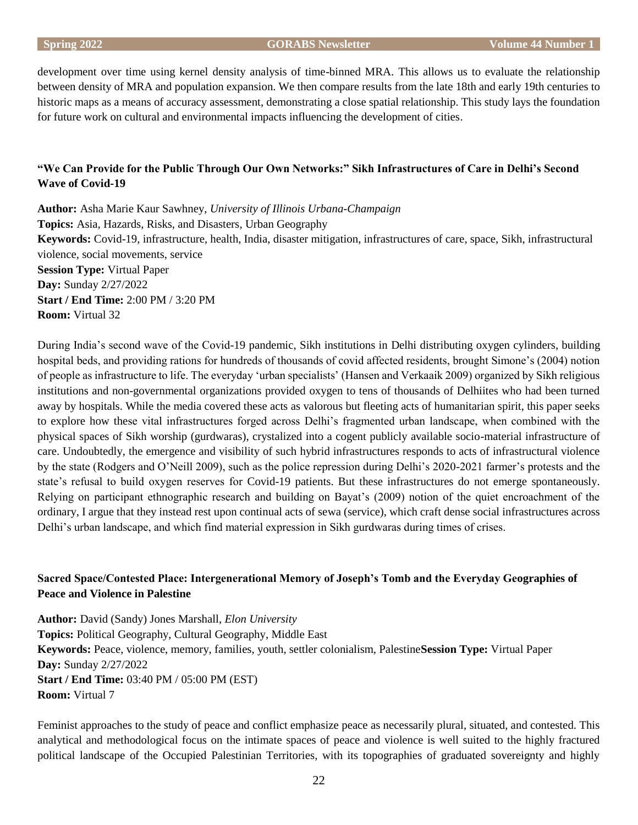development over time using kernel density analysis of time-binned MRA. This allows us to evaluate the relationship between density of MRA and population expansion. We then compare results from the late 18th and early 19th centuries to historic maps as a means of accuracy assessment, demonstrating a close spatial relationship. This study lays the foundation for future work on cultural and environmental impacts influencing the development of cities.

# **"We Can Provide for the Public Through Our Own Networks:" Sikh Infrastructures of Care in Delhi's Second Wave of Covid-19**

**Author:** Asha Marie Kaur Sawhney, *University of Illinois Urbana-Champaign* **Topics:** Asia, Hazards, Risks, and Disasters, Urban Geography **Keywords:** Covid-19, infrastructure, health, India, disaster mitigation, infrastructures of care, space, Sikh, infrastructural violence, social movements, service **Session Type:** Virtual Paper **Day:** Sunday 2/27/2022 **Start / End Time:** 2:00 PM / 3:20 PM **Room:** Virtual 32

During India's second wave of the Covid-19 pandemic, Sikh institutions in Delhi distributing oxygen cylinders, building hospital beds, and providing rations for hundreds of thousands of covid affected residents, brought Simone's (2004) notion of people as infrastructure to life. The everyday 'urban specialists' (Hansen and Verkaaik 2009) organized by Sikh religious institutions and non-governmental organizations provided oxygen to tens of thousands of Delhiites who had been turned away by hospitals. While the media covered these acts as valorous but fleeting acts of humanitarian spirit, this paper seeks to explore how these vital infrastructures forged across Delhi's fragmented urban landscape, when combined with the physical spaces of Sikh worship (gurdwaras), crystalized into a cogent publicly available socio-material infrastructure of care. Undoubtedly, the emergence and visibility of such hybrid infrastructures responds to acts of infrastructural violence by the state (Rodgers and O'Neill 2009), such as the police repression during Delhi's 2020-2021 farmer's protests and the state's refusal to build oxygen reserves for Covid-19 patients. But these infrastructures do not emerge spontaneously. Relying on participant ethnographic research and building on Bayat's (2009) notion of the quiet encroachment of the ordinary, I argue that they instead rest upon continual acts of sewa (service), which craft dense social infrastructures across Delhi's urban landscape, and which find material expression in Sikh gurdwaras during times of crises.

# **Sacred Space/Contested Place: Intergenerational Memory of Joseph's Tomb and the Everyday Geographies of Peace and Violence in Palestine**

**Author:** David (Sandy) Jones Marshall, *Elon University* **Topics:** Political Geography, Cultural Geography, Middle East **Keywords:** Peace, violence, memory, families, youth, settler colonialism, Palestine**Session Type:** Virtual Paper **Day:** Sunday 2/27/2022 **Start / End Time:** 03:40 PM / 05:00 PM (EST) **Room:** Virtual 7

Feminist approaches to the study of peace and conflict emphasize peace as necessarily plural, situated, and contested. This analytical and methodological focus on the intimate spaces of peace and violence is well suited to the highly fractured political landscape of the Occupied Palestinian Territories, with its topographies of graduated sovereignty and highly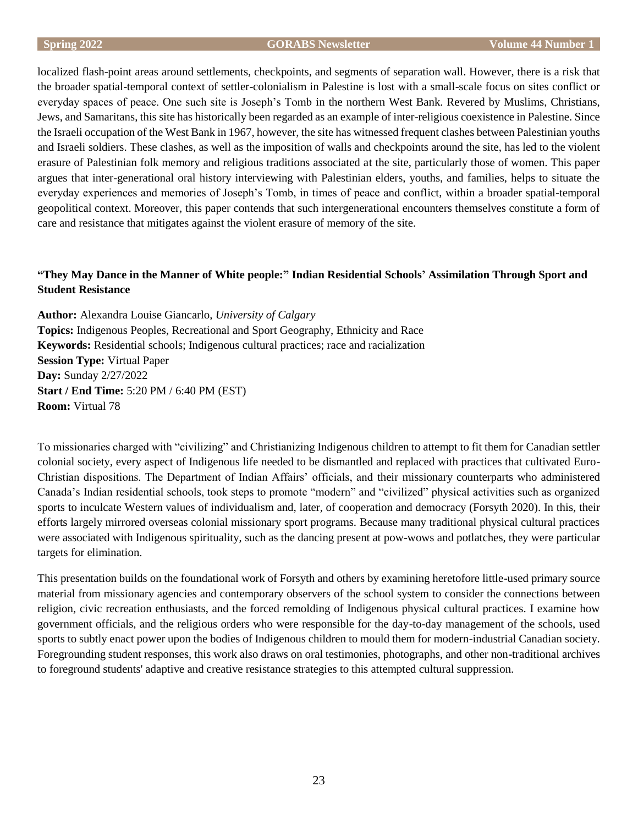localized flash-point areas around settlements, checkpoints, and segments of separation wall. However, there is a risk that the broader spatial-temporal context of settler-colonialism in Palestine is lost with a small-scale focus on sites conflict or everyday spaces of peace. One such site is Joseph's Tomb in the northern West Bank. Revered by Muslims, Christians, Jews, and Samaritans, this site has historically been regarded as an example of inter-religious coexistence in Palestine. Since the Israeli occupation of the West Bank in 1967, however, the site has witnessed frequent clashes between Palestinian youths and Israeli soldiers. These clashes, as well as the imposition of walls and checkpoints around the site, has led to the violent erasure of Palestinian folk memory and religious traditions associated at the site, particularly those of women. This paper argues that inter-generational oral history interviewing with Palestinian elders, youths, and families, helps to situate the everyday experiences and memories of Joseph's Tomb, in times of peace and conflict, within a broader spatial-temporal geopolitical context. Moreover, this paper contends that such intergenerational encounters themselves constitute a form of care and resistance that mitigates against the violent erasure of memory of the site.

# **"They May Dance in the Manner of White people:" Indian Residential Schools' Assimilation Through Sport and Student Resistance**

**Author:** Alexandra Louise Giancarlo, *University of Calgary* **Topics:** Indigenous Peoples, Recreational and Sport Geography, Ethnicity and Race **Keywords:** Residential schools; Indigenous cultural practices; race and racialization **Session Type:** Virtual Paper **Day:** Sunday 2/27/2022 **Start / End Time:** 5:20 PM / 6:40 PM (EST) **Room:** Virtual 78

To missionaries charged with "civilizing" and Christianizing Indigenous children to attempt to fit them for Canadian settler colonial society, every aspect of Indigenous life needed to be dismantled and replaced with practices that cultivated Euro-Christian dispositions. The Department of Indian Affairs' officials, and their missionary counterparts who administered Canada's Indian residential schools, took steps to promote "modern" and "civilized" physical activities such as organized sports to inculcate Western values of individualism and, later, of cooperation and democracy (Forsyth 2020). In this, their efforts largely mirrored overseas colonial missionary sport programs. Because many traditional physical cultural practices were associated with Indigenous spirituality, such as the dancing present at pow-wows and potlatches, they were particular targets for elimination.

This presentation builds on the foundational work of Forsyth and others by examining heretofore little-used primary source material from missionary agencies and contemporary observers of the school system to consider the connections between religion, civic recreation enthusiasts, and the forced remolding of Indigenous physical cultural practices. I examine how government officials, and the religious orders who were responsible for the day-to-day management of the schools, used sports to subtly enact power upon the bodies of Indigenous children to mould them for modern-industrial Canadian society. Foregrounding student responses, this work also draws on oral testimonies, photographs, and other non-traditional archives to foreground students' adaptive and creative resistance strategies to this attempted cultural suppression.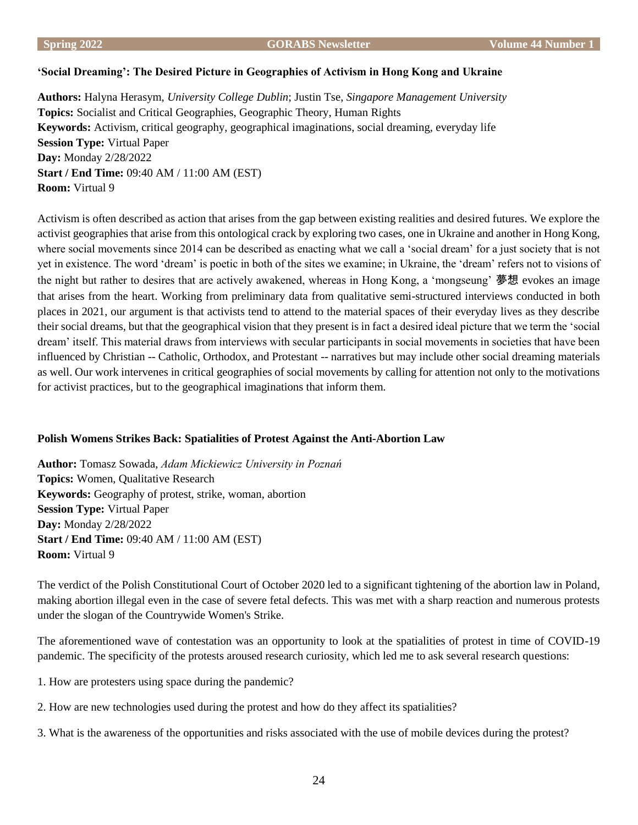#### **'Social Dreaming': The Desired Picture in Geographies of Activism in Hong Kong and Ukraine**

**Authors:** Halyna Herasym, *University College Dublin*; Justin Tse, *Singapore Management University* **Topics:** Socialist and Critical Geographies, Geographic Theory, Human Rights **Keywords:** Activism, critical geography, geographical imaginations, social dreaming, everyday life **Session Type:** Virtual Paper **Day:** Monday 2/28/2022 **Start / End Time:** 09:40 AM / 11:00 AM (EST) **Room:** Virtual 9

Activism is often described as action that arises from the gap between existing realities and desired futures. We explore the activist geographies that arise from this ontological crack by exploring two cases, one in Ukraine and another in Hong Kong, where social movements since 2014 can be described as enacting what we call a 'social dream' for a just society that is not yet in existence. The word 'dream' is poetic in both of the sites we examine; in Ukraine, the 'dream' refers not to visions of the night but rather to desires that are actively awakened, whereas in Hong Kong, a 'mongseung' 夢想 evokes an image that arises from the heart. Working from preliminary data from qualitative semi-structured interviews conducted in both places in 2021, our argument is that activists tend to attend to the material spaces of their everyday lives as they describe their social dreams, but that the geographical vision that they present is in fact a desired ideal picture that we term the 'social dream' itself. This material draws from interviews with secular participants in social movements in societies that have been influenced by Christian -- Catholic, Orthodox, and Protestant -- narratives but may include other social dreaming materials as well. Our work intervenes in critical geographies of social movements by calling for attention not only to the motivations for activist practices, but to the geographical imaginations that inform them.

# **Polish Womens Strikes Back: Spatialities of Protest Against the Anti-Abortion Law**

**Author:** Tomasz Sowada, *Adam Mickiewicz University in Poznań* **Topics:** Women, Qualitative Research **Keywords:** Geography of protest, strike, woman, abortion **Session Type:** Virtual Paper **Day:** Monday 2/28/2022 **Start / End Time:** 09:40 AM / 11:00 AM (EST) **Room:** Virtual 9

The verdict of the Polish Constitutional Court of October 2020 led to a significant tightening of the abortion law in Poland, making abortion illegal even in the case of severe fetal defects. This was met with a sharp reaction and numerous protests under the slogan of the Countrywide Women's Strike.

The aforementioned wave of contestation was an opportunity to look at the spatialities of protest in time of COVID-19 pandemic. The specificity of the protests aroused research curiosity, which led me to ask several research questions:

- 1. How are protesters using space during the pandemic?
- 2. How are new technologies used during the protest and how do they affect its spatialities?
- 3. What is the awareness of the opportunities and risks associated with the use of mobile devices during the protest?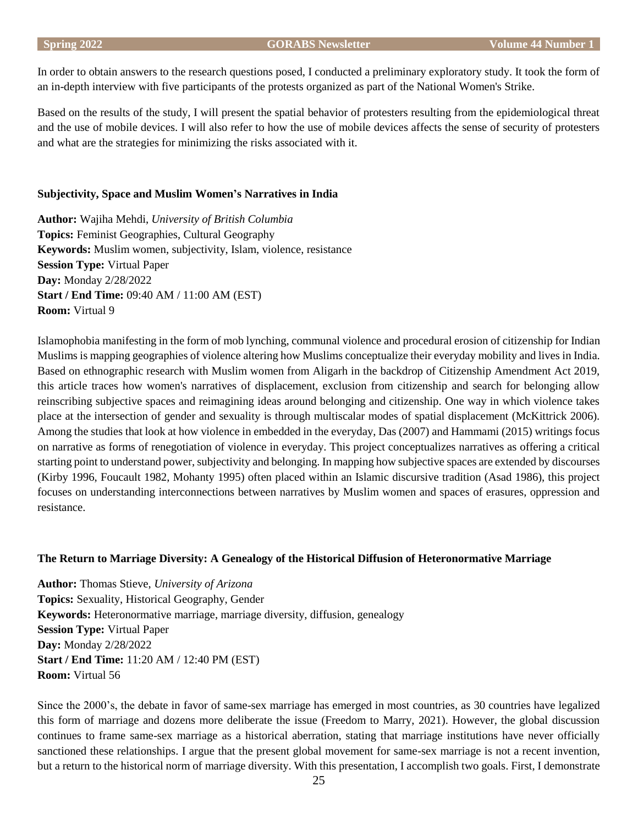In order to obtain answers to the research questions posed, I conducted a preliminary exploratory study. It took the form of an in-depth interview with five participants of the protests organized as part of the National Women's Strike.

Based on the results of the study, I will present the spatial behavior of protesters resulting from the epidemiological threat and the use of mobile devices. I will also refer to how the use of mobile devices affects the sense of security of protesters and what are the strategies for minimizing the risks associated with it.

#### **Subjectivity, Space and Muslim Women's Narratives in India**

**Author:** Wajiha Mehdi, *University of British Columbia* **Topics:** Feminist Geographies, Cultural Geography **Keywords:** Muslim women, subjectivity, Islam, violence, resistance **Session Type:** Virtual Paper **Day:** Monday 2/28/2022 **Start / End Time:** 09:40 AM / 11:00 AM (EST) **Room:** Virtual 9

Islamophobia manifesting in the form of mob lynching, communal violence and procedural erosion of citizenship for Indian Muslims is mapping geographies of violence altering how Muslims conceptualize their everyday mobility and lives in India. Based on ethnographic research with Muslim women from Aligarh in the backdrop of Citizenship Amendment Act 2019, this article traces how women's narratives of displacement, exclusion from citizenship and search for belonging allow reinscribing subjective spaces and reimagining ideas around belonging and citizenship. One way in which violence takes place at the intersection of gender and sexuality is through multiscalar modes of spatial displacement (McKittrick 2006). Among the studies that look at how violence in embedded in the everyday, Das (2007) and Hammami (2015) writings focus on narrative as forms of renegotiation of violence in everyday. This project conceptualizes narratives as offering a critical starting point to understand power, subjectivity and belonging. In mapping how subjective spaces are extended by discourses (Kirby 1996, Foucault 1982, Mohanty 1995) often placed within an Islamic discursive tradition (Asad 1986), this project focuses on understanding interconnections between narratives by Muslim women and spaces of erasures, oppression and resistance.

# **The Return to Marriage Diversity: A Genealogy of the Historical Diffusion of Heteronormative Marriage**

**Author:** Thomas Stieve, *University of Arizona* **Topics:** Sexuality, Historical Geography, Gender **Keywords:** Heteronormative marriage, marriage diversity, diffusion, genealogy **Session Type:** Virtual Paper **Day:** Monday 2/28/2022 **Start / End Time:** 11:20 AM / 12:40 PM (EST) **Room:** Virtual 56

Since the 2000's, the debate in favor of same-sex marriage has emerged in most countries, as 30 countries have legalized this form of marriage and dozens more deliberate the issue (Freedom to Marry, 2021). However, the global discussion continues to frame same-sex marriage as a historical aberration, stating that marriage institutions have never officially sanctioned these relationships. I argue that the present global movement for same-sex marriage is not a recent invention, but a return to the historical norm of marriage diversity. With this presentation, I accomplish two goals. First, I demonstrate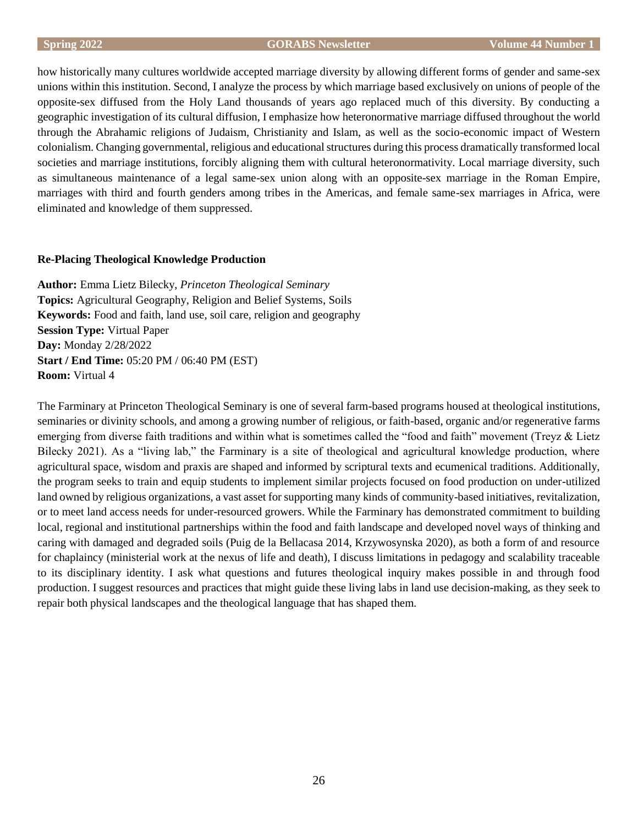how historically many cultures worldwide accepted marriage diversity by allowing different forms of gender and same-sex unions within this institution. Second, I analyze the process by which marriage based exclusively on unions of people of the opposite-sex diffused from the Holy Land thousands of years ago replaced much of this diversity. By conducting a geographic investigation of its cultural diffusion, I emphasize how heteronormative marriage diffused throughout the world through the Abrahamic religions of Judaism, Christianity and Islam, as well as the socio-economic impact of Western colonialism. Changing governmental, religious and educational structures during this process dramatically transformed local societies and marriage institutions, forcibly aligning them with cultural heteronormativity. Local marriage diversity, such as simultaneous maintenance of a legal same-sex union along with an opposite-sex marriage in the Roman Empire, marriages with third and fourth genders among tribes in the Americas, and female same-sex marriages in Africa, were eliminated and knowledge of them suppressed.

# **Re-Placing Theological Knowledge Production**

**Author:** Emma Lietz Bilecky, *Princeton Theological Seminary* **Topics:** Agricultural Geography, Religion and Belief Systems, Soils **Keywords:** Food and faith, land use, soil care, religion and geography **Session Type:** Virtual Paper **Day:** Monday 2/28/2022 **Start / End Time:** 05:20 PM / 06:40 PM (EST) **Room:** Virtual 4

The Farminary at Princeton Theological Seminary is one of several farm-based programs housed at theological institutions, seminaries or divinity schools, and among a growing number of religious, or faith-based, organic and/or regenerative farms emerging from diverse faith traditions and within what is sometimes called the "food and faith" movement (Treyz & Lietz Bilecky 2021). As a "living lab," the Farminary is a site of theological and agricultural knowledge production, where agricultural space, wisdom and praxis are shaped and informed by scriptural texts and ecumenical traditions. Additionally, the program seeks to train and equip students to implement similar projects focused on food production on under-utilized land owned by religious organizations, a vast asset for supporting many kinds of community-based initiatives, revitalization, or to meet land access needs for under-resourced growers. While the Farminary has demonstrated commitment to building local, regional and institutional partnerships within the food and faith landscape and developed novel ways of thinking and caring with damaged and degraded soils (Puig de la Bellacasa 2014, Krzywosynska 2020), as both a form of and resource for chaplaincy (ministerial work at the nexus of life and death), I discuss limitations in pedagogy and scalability traceable to its disciplinary identity. I ask what questions and futures theological inquiry makes possible in and through food production. I suggest resources and practices that might guide these living labs in land use decision-making, as they seek to repair both physical landscapes and the theological language that has shaped them.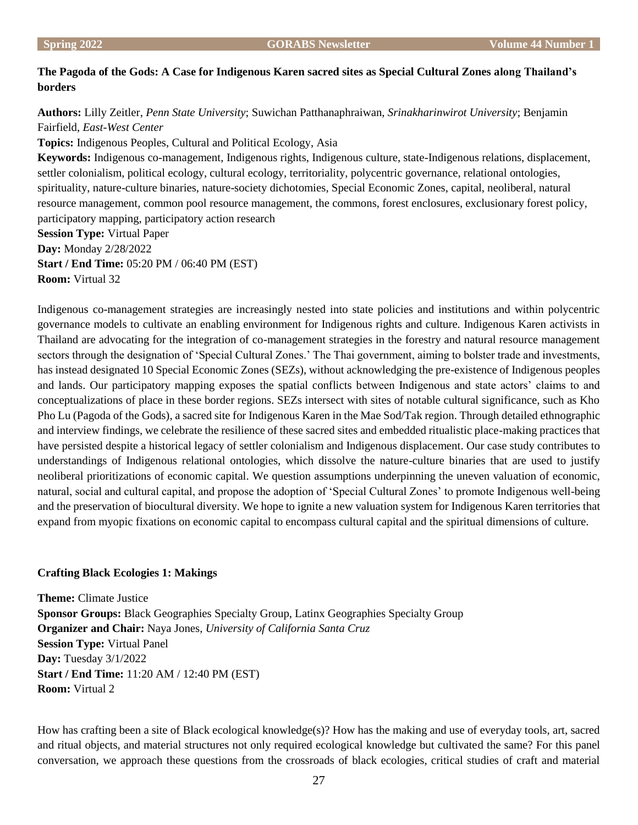# **The Pagoda of the Gods: A Case for Indigenous Karen sacred sites as Special Cultural Zones along Thailand's borders**

**Authors:** Lilly Zeitler, *Penn State University*; Suwichan Patthanaphraiwan, *Srinakharinwirot University*; Benjamin Fairfield, *East-West Center*

**Topics:** Indigenous Peoples, Cultural and Political Ecology, Asia

**Keywords:** Indigenous co-management, Indigenous rights, Indigenous culture, state-Indigenous relations, displacement, settler colonialism, political ecology, cultural ecology, territoriality, polycentric governance, relational ontologies, spirituality, nature-culture binaries, nature-society dichotomies, Special Economic Zones, capital, neoliberal, natural resource management, common pool resource management, the commons, forest enclosures, exclusionary forest policy, participatory mapping, participatory action research **Session Type:** Virtual Paper

**Day:** Monday 2/28/2022 **Start / End Time:** 05:20 PM / 06:40 PM (EST) **Room:** Virtual 32

Indigenous co-management strategies are increasingly nested into state policies and institutions and within polycentric governance models to cultivate an enabling environment for Indigenous rights and culture. Indigenous Karen activists in Thailand are advocating for the integration of co-management strategies in the forestry and natural resource management sectors through the designation of 'Special Cultural Zones.' The Thai government, aiming to bolster trade and investments, has instead designated 10 Special Economic Zones (SEZs), without acknowledging the pre-existence of Indigenous peoples and lands. Our participatory mapping exposes the spatial conflicts between Indigenous and state actors' claims to and conceptualizations of place in these border regions. SEZs intersect with sites of notable cultural significance, such as Kho Pho Lu (Pagoda of the Gods), a sacred site for Indigenous Karen in the Mae Sod/Tak region. Through detailed ethnographic and interview findings, we celebrate the resilience of these sacred sites and embedded ritualistic place-making practices that have persisted despite a historical legacy of settler colonialism and Indigenous displacement. Our case study contributes to understandings of Indigenous relational ontologies, which dissolve the nature-culture binaries that are used to justify neoliberal prioritizations of economic capital. We question assumptions underpinning the uneven valuation of economic, natural, social and cultural capital, and propose the adoption of 'Special Cultural Zones' to promote Indigenous well-being and the preservation of biocultural diversity. We hope to ignite a new valuation system for Indigenous Karen territories that expand from myopic fixations on economic capital to encompass cultural capital and the spiritual dimensions of culture.

# **Crafting Black Ecologies 1: Makings**

**Theme:** Climate Justice **Sponsor Groups:** Black Geographies Specialty Group, Latinx Geographies Specialty Group **Organizer and Chair:** Naya Jones, *University of California Santa Cruz* **Session Type:** Virtual Panel **Day:** Tuesday 3/1/2022 **Start / End Time:** 11:20 AM / 12:40 PM (EST) **Room:** Virtual 2

How has crafting been a site of Black ecological knowledge(s)? How has the making and use of everyday tools, art, sacred and ritual objects, and material structures not only required ecological knowledge but cultivated the same? For this panel conversation, we approach these questions from the crossroads of black ecologies, critical studies of craft and material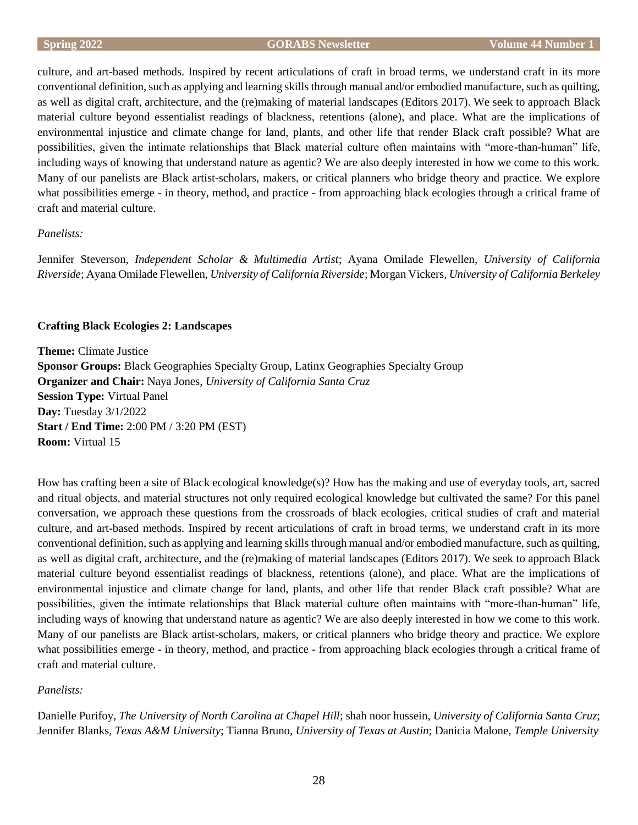culture, and art-based methods. Inspired by recent articulations of craft in broad terms, we understand craft in its more conventional definition, such as applying and learning skills through manual and/or embodied manufacture, such as quilting, as well as digital craft, architecture, and the (re)making of material landscapes (Editors 2017). We seek to approach Black material culture beyond essentialist readings of blackness, retentions (alone), and place. What are the implications of environmental injustice and climate change for land, plants, and other life that render Black craft possible? What are possibilities, given the intimate relationships that Black material culture often maintains with "more-than-human" life, including ways of knowing that understand nature as agentic? We are also deeply interested in how we come to this work. Many of our panelists are Black artist-scholars, makers, or critical planners who bridge theory and practice. We explore what possibilities emerge - in theory, method, and practice - from approaching black ecologies through a critical frame of craft and material culture.

# *Panelists:*

Jennifer Steverson, *Independent Scholar & Multimedia Artist*; Ayana Omilade Flewellen, *University of California Riverside*; Ayana Omilade Flewellen, *University of California Riverside*; Morgan Vickers, *University of California Berkeley*

# **Crafting Black Ecologies 2: Landscapes**

**Theme:** Climate Justice **Sponsor Groups:** Black Geographies Specialty Group, Latinx Geographies Specialty Group **Organizer and Chair:** Naya Jones, *University of California Santa Cruz* **Session Type:** Virtual Panel **Day:** Tuesday 3/1/2022 **Start / End Time:** 2:00 PM / 3:20 PM (EST) **Room:** Virtual 15

How has crafting been a site of Black ecological knowledge(s)? How has the making and use of everyday tools, art, sacred and ritual objects, and material structures not only required ecological knowledge but cultivated the same? For this panel conversation, we approach these questions from the crossroads of black ecologies, critical studies of craft and material culture, and art-based methods. Inspired by recent articulations of craft in broad terms, we understand craft in its more conventional definition, such as applying and learning skills through manual and/or embodied manufacture, such as quilting, as well as digital craft, architecture, and the (re)making of material landscapes (Editors 2017). We seek to approach Black material culture beyond essentialist readings of blackness, retentions (alone), and place. What are the implications of environmental injustice and climate change for land, plants, and other life that render Black craft possible? What are possibilities, given the intimate relationships that Black material culture often maintains with "more-than-human" life, including ways of knowing that understand nature as agentic? We are also deeply interested in how we come to this work. Many of our panelists are Black artist-scholars, makers, or critical planners who bridge theory and practice. We explore what possibilities emerge - in theory, method, and practice - from approaching black ecologies through a critical frame of craft and material culture.

# *Panelists:*

Danielle Purifoy, *The University of North Carolina at Chapel Hill*; shah noor hussein, *University of California Santa Cruz*; Jennifer Blanks, *Texas A&M University*; Tianna Bruno, *University of Texas at Austin*; Danicia Malone, *Temple University*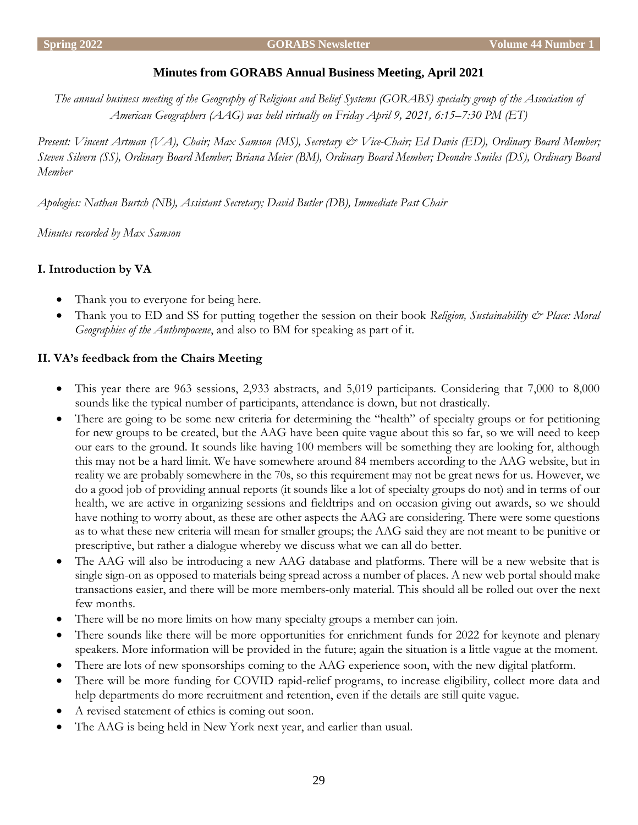# **Minutes from GORABS Annual Business Meeting, April 2021**

*The annual business meeting of the Geography of Religions and Belief Systems (GORABS) specialty group of the Association of American Geographers (AAG) was held virtually on Friday April 9, 2021, 6:15–7:30 PM (ET)*

*Present: Vincent Artman (VA), Chair; Max Samson (MS), Secretary & Vice-Chair; Ed Davis (ED), Ordinary Board Member; Steven Silvern (SS), Ordinary Board Member; Briana Meier (BM), Ordinary Board Member; Deondre Smiles (DS), Ordinary Board Member*

*Apologies: Nathan Burtch (NB), Assistant Secretary; David Butler (DB), Immediate Past Chair*

*Minutes recorded by Max Samson*

# **I. Introduction by VA**

- Thank you to everyone for being here.
- Thank you to ED and SS for putting together the session on their book *Religion, Sustainability & Place: Moral Geographies of the Anthropocene*, and also to BM for speaking as part of it.

# **II. VA's feedback from the Chairs Meeting**

- This year there are 963 sessions, 2,933 abstracts, and 5,019 participants. Considering that 7,000 to 8,000 sounds like the typical number of participants, attendance is down, but not drastically.
- There are going to be some new criteria for determining the "health" of specialty groups or for petitioning for new groups to be created, but the AAG have been quite vague about this so far, so we will need to keep our ears to the ground. It sounds like having 100 members will be something they are looking for, although this may not be a hard limit. We have somewhere around 84 members according to the AAG website, but in reality we are probably somewhere in the 70s, so this requirement may not be great news for us. However, we do a good job of providing annual reports (it sounds like a lot of specialty groups do not) and in terms of our health, we are active in organizing sessions and fieldtrips and on occasion giving out awards, so we should have nothing to worry about, as these are other aspects the AAG are considering. There were some questions as to what these new criteria will mean for smaller groups; the AAG said they are not meant to be punitive or prescriptive, but rather a dialogue whereby we discuss what we can all do better.
- The AAG will also be introducing a new AAG database and platforms. There will be a new website that is single sign-on as opposed to materials being spread across a number of places. A new web portal should make transactions easier, and there will be more members-only material. This should all be rolled out over the next few months.
- There will be no more limits on how many specialty groups a member can join.
- There sounds like there will be more opportunities for enrichment funds for 2022 for keynote and plenary speakers. More information will be provided in the future; again the situation is a little vague at the moment.
- There are lots of new sponsorships coming to the AAG experience soon, with the new digital platform.
- There will be more funding for COVID rapid-relief programs, to increase eligibility, collect more data and help departments do more recruitment and retention, even if the details are still quite vague.
- A revised statement of ethics is coming out soon.
- The AAG is being held in New York next year, and earlier than usual.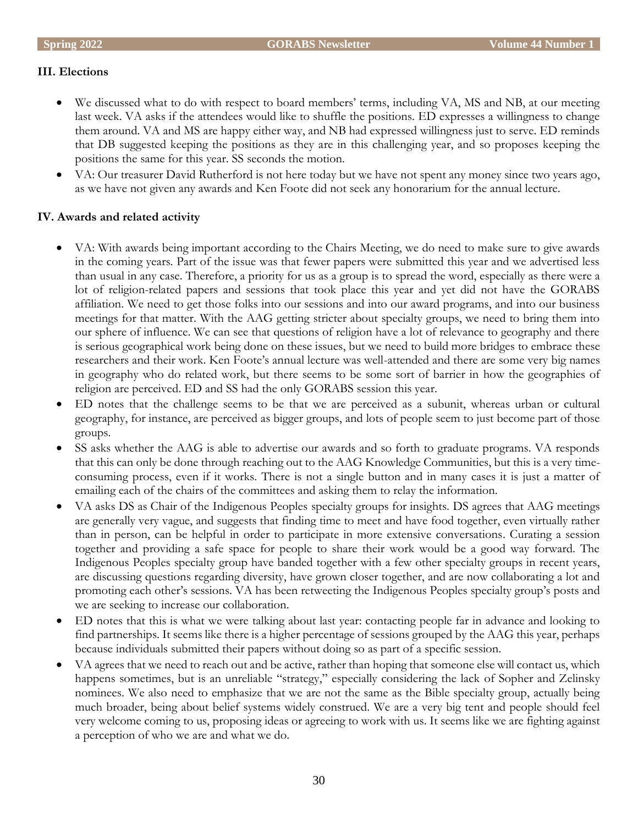# **III. Elections**

- We discussed what to do with respect to board members' terms, including VA, MS and NB, at our meeting last week. VA asks if the attendees would like to shuffle the positions. ED expresses a willingness to change them around. VA and MS are happy either way, and NB had expressed willingness just to serve. ED reminds that DB suggested keeping the positions as they are in this challenging year, and so proposes keeping the positions the same for this year. SS seconds the motion.
- VA: Our treasurer David Rutherford is not here today but we have not spent any money since two years ago, as we have not given any awards and Ken Foote did not seek any honorarium for the annual lecture.

# **IV. Awards and related activity**

- VA: With awards being important according to the Chairs Meeting, we do need to make sure to give awards in the coming years. Part of the issue was that fewer papers were submitted this year and we advertised less than usual in any case. Therefore, a priority for us as a group is to spread the word, especially as there were a lot of religion-related papers and sessions that took place this year and yet did not have the GORABS affiliation. We need to get those folks into our sessions and into our award programs, and into our business meetings for that matter. With the AAG getting stricter about specialty groups, we need to bring them into our sphere of influence. We can see that questions of religion have a lot of relevance to geography and there is serious geographical work being done on these issues, but we need to build more bridges to embrace these researchers and their work. Ken Foote's annual lecture was well-attended and there are some very big names in geography who do related work, but there seems to be some sort of barrier in how the geographies of religion are perceived. ED and SS had the only GORABS session this year.
- ED notes that the challenge seems to be that we are perceived as a subunit, whereas urban or cultural geography, for instance, are perceived as bigger groups, and lots of people seem to just become part of those groups.
- SS asks whether the AAG is able to advertise our awards and so forth to graduate programs. VA responds that this can only be done through reaching out to the AAG Knowledge Communities, but this is a very timeconsuming process, even if it works. There is not a single button and in many cases it is just a matter of emailing each of the chairs of the committees and asking them to relay the information.
- VA asks DS as Chair of the Indigenous Peoples specialty groups for insights. DS agrees that AAG meetings are generally very vague, and suggests that finding time to meet and have food together, even virtually rather than in person, can be helpful in order to participate in more extensive conversations. Curating a session together and providing a safe space for people to share their work would be a good way forward. The Indigenous Peoples specialty group have banded together with a few other specialty groups in recent years, are discussing questions regarding diversity, have grown closer together, and are now collaborating a lot and promoting each other's sessions. VA has been retweeting the Indigenous Peoples specialty group's posts and we are seeking to increase our collaboration.
- ED notes that this is what we were talking about last year: contacting people far in advance and looking to find partnerships. It seems like there is a higher percentage of sessions grouped by the AAG this year, perhaps because individuals submitted their papers without doing so as part of a specific session.
- VA agrees that we need to reach out and be active, rather than hoping that someone else will contact us, which happens sometimes, but is an unreliable "strategy," especially considering the lack of Sopher and Zelinsky nominees. We also need to emphasize that we are not the same as the Bible specialty group, actually being much broader, being about belief systems widely construed. We are a very big tent and people should feel very welcome coming to us, proposing ideas or agreeing to work with us. It seems like we are fighting against a perception of who we are and what we do.